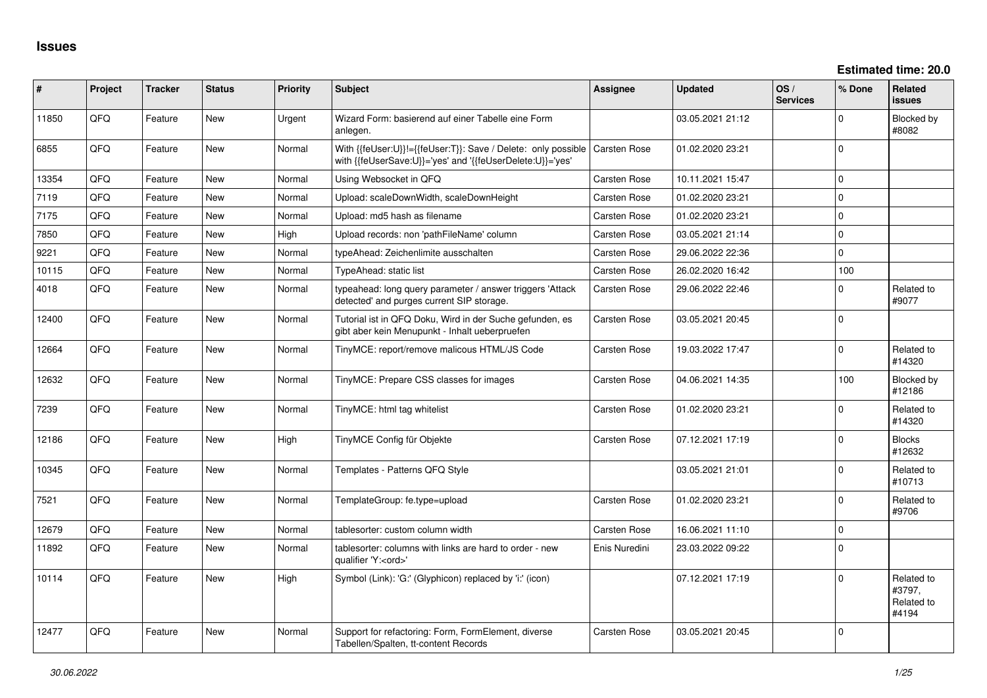| ∦     | Project | <b>Tracker</b> | <b>Status</b> | <b>Priority</b> | <b>Subject</b>                                                                                                             | <b>Assignee</b>     | <b>Updated</b>   | OS/<br><b>Services</b> | % Done      | Related<br><b>issues</b>                    |
|-------|---------|----------------|---------------|-----------------|----------------------------------------------------------------------------------------------------------------------------|---------------------|------------------|------------------------|-------------|---------------------------------------------|
| 11850 | QFQ     | Feature        | New           | Urgent          | Wizard Form: basierend auf einer Tabelle eine Form<br>anlegen.                                                             |                     | 03.05.2021 21:12 |                        | $\Omega$    | Blocked by<br>#8082                         |
| 6855  | QFQ     | Feature        | New           | Normal          | With {{feUser:U}}!={{feUser:T}}: Save / Delete: only possible<br>with {{feUserSave:U}}='yes' and '{{feUserDelete:U}}='yes' | Carsten Rose        | 01.02.2020 23:21 |                        | $\Omega$    |                                             |
| 13354 | QFQ     | Feature        | <b>New</b>    | Normal          | Using Websocket in QFQ                                                                                                     | Carsten Rose        | 10.11.2021 15:47 |                        | $\Omega$    |                                             |
| 7119  | QFQ     | Feature        | <b>New</b>    | Normal          | Upload: scaleDownWidth, scaleDownHeight                                                                                    | Carsten Rose        | 01.02.2020 23:21 |                        | $\Omega$    |                                             |
| 7175  | QFQ     | Feature        | <b>New</b>    | Normal          | Upload: md5 hash as filename                                                                                               | <b>Carsten Rose</b> | 01.02.2020 23:21 |                        | $\Omega$    |                                             |
| 7850  | QFQ     | Feature        | New           | High            | Upload records: non 'pathFileName' column                                                                                  | <b>Carsten Rose</b> | 03.05.2021 21:14 |                        | $\mathbf 0$ |                                             |
| 9221  | QFQ     | Feature        | New           | Normal          | typeAhead: Zeichenlimite ausschalten                                                                                       | Carsten Rose        | 29.06.2022 22:36 |                        | $\Omega$    |                                             |
| 10115 | QFQ     | Feature        | New           | Normal          | TypeAhead: static list                                                                                                     | Carsten Rose        | 26.02.2020 16:42 |                        | 100         |                                             |
| 4018  | QFQ     | Feature        | New           | Normal          | typeahead: long query parameter / answer triggers 'Attack<br>detected' and purges current SIP storage.                     | Carsten Rose        | 29.06.2022 22:46 |                        | $\Omega$    | Related to<br>#9077                         |
| 12400 | QFQ     | Feature        | <b>New</b>    | Normal          | Tutorial ist in QFQ Doku, Wird in der Suche gefunden, es<br>gibt aber kein Menupunkt - Inhalt ueberpruefen                 | Carsten Rose        | 03.05.2021 20:45 |                        | $\mathbf 0$ |                                             |
| 12664 | QFQ     | Feature        | New           | Normal          | TinyMCE: report/remove malicous HTML/JS Code                                                                               | Carsten Rose        | 19.03.2022 17:47 |                        | $\mathbf 0$ | Related to<br>#14320                        |
| 12632 | QFQ     | Feature        | <b>New</b>    | Normal          | TinyMCE: Prepare CSS classes for images                                                                                    | Carsten Rose        | 04.06.2021 14:35 |                        | 100         | Blocked by<br>#12186                        |
| 7239  | QFQ     | Feature        | New           | Normal          | TinyMCE: html tag whitelist                                                                                                | <b>Carsten Rose</b> | 01.02.2020 23:21 |                        | $\mathbf 0$ | Related to<br>#14320                        |
| 12186 | QFQ     | Feature        | <b>New</b>    | High            | TinyMCE Config für Objekte                                                                                                 | <b>Carsten Rose</b> | 07.12.2021 17:19 |                        | $\mathbf 0$ | <b>Blocks</b><br>#12632                     |
| 10345 | QFQ     | Feature        | New           | Normal          | Templates - Patterns QFQ Style                                                                                             |                     | 03.05.2021 21:01 |                        | $\Omega$    | Related to<br>#10713                        |
| 7521  | QFQ     | Feature        | New           | Normal          | TemplateGroup: fe.type=upload                                                                                              | Carsten Rose        | 01.02.2020 23:21 |                        | $\mathbf 0$ | Related to<br>#9706                         |
| 12679 | QFQ     | Feature        | New           | Normal          | tablesorter: custom column width                                                                                           | Carsten Rose        | 16.06.2021 11:10 |                        | $\Omega$    |                                             |
| 11892 | QFQ     | Feature        | <b>New</b>    | Normal          | tablesorter: columns with links are hard to order - new<br>qualifier 'Y: <ord>'</ord>                                      | Enis Nuredini       | 23.03.2022 09:22 |                        | $\Omega$    |                                             |
| 10114 | QFQ     | Feature        | New           | High            | Symbol (Link): 'G:' (Glyphicon) replaced by 'i:' (icon)                                                                    |                     | 07.12.2021 17:19 |                        | $\Omega$    | Related to<br>#3797,<br>Related to<br>#4194 |
| 12477 | QFQ     | Feature        | <b>New</b>    | Normal          | Support for refactoring: Form, FormElement, diverse<br>Tabellen/Spalten, tt-content Records                                | <b>Carsten Rose</b> | 03.05.2021 20:45 |                        | $\mathbf 0$ |                                             |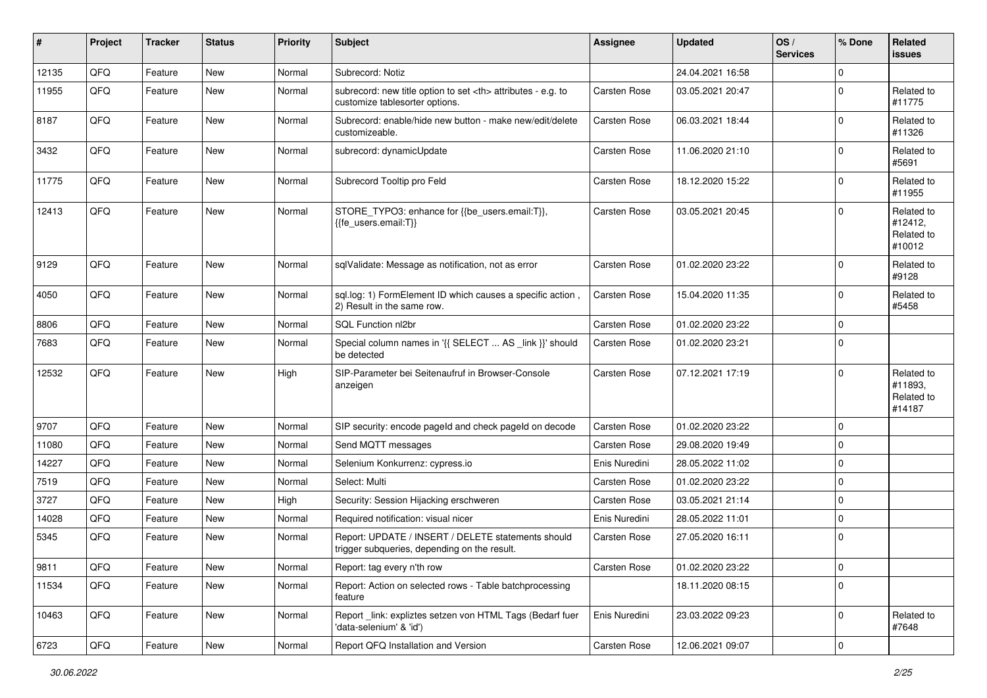| ∦     | Project | <b>Tracker</b> | <b>Status</b> | <b>Priority</b> | Subject                                                                                              | <b>Assignee</b>                                        | <b>Updated</b>      | OS/<br><b>Services</b> | % Done       | <b>Related</b><br><b>issues</b>               |                      |
|-------|---------|----------------|---------------|-----------------|------------------------------------------------------------------------------------------------------|--------------------------------------------------------|---------------------|------------------------|--------------|-----------------------------------------------|----------------------|
| 12135 | QFQ     | Feature        | <b>New</b>    | Normal          | Subrecord: Notiz                                                                                     |                                                        | 24.04.2021 16:58    |                        | $\Omega$     |                                               |                      |
| 11955 | QFQ     | Feature        | <b>New</b>    | Normal          | subrecord: new title option to set <th> attributes - e.g. to<br/>customize tablesorter options.</th> | attributes - e.g. to<br>customize tablesorter options. | <b>Carsten Rose</b> | 03.05.2021 20:47       |              | $\Omega$                                      | Related to<br>#11775 |
| 8187  | QFQ     | Feature        | <b>New</b>    | Normal          | Subrecord: enable/hide new button - make new/edit/delete<br>customizeable.                           | <b>Carsten Rose</b>                                    | 06.03.2021 18:44    |                        | $\Omega$     | Related to<br>#11326                          |                      |
| 3432  | QFQ     | Feature        | <b>New</b>    | Normal          | subrecord: dynamicUpdate                                                                             | <b>Carsten Rose</b>                                    | 11.06.2020 21:10    |                        | $\Omega$     | Related to<br>#5691                           |                      |
| 11775 | QFQ     | Feature        | <b>New</b>    | Normal          | Subrecord Tooltip pro Feld                                                                           | Carsten Rose                                           | 18.12.2020 15:22    |                        | $\Omega$     | Related to<br>#11955                          |                      |
| 12413 | QFQ     | Feature        | New           | Normal          | STORE_TYPO3: enhance for {{be_users.email:T}},<br>{{fe_users.email:T}}                               | Carsten Rose                                           | 03.05.2021 20:45    |                        | $\Omega$     | Related to<br>#12412,<br>Related to<br>#10012 |                      |
| 9129  | QFQ     | Feature        | <b>New</b>    | Normal          | sqlValidate: Message as notification, not as error                                                   | <b>Carsten Rose</b>                                    | 01.02.2020 23:22    |                        | $\Omega$     | Related to<br>#9128                           |                      |
| 4050  | QFQ     | Feature        | New           | Normal          | sql.log: 1) FormElement ID which causes a specific action,<br>2) Result in the same row.             | Carsten Rose                                           | 15.04.2020 11:35    |                        | $\Omega$     | Related to<br>#5458                           |                      |
| 8806  | QFQ     | Feature        | <b>New</b>    | Normal          | SQL Function nl2br                                                                                   | <b>Carsten Rose</b>                                    | 01.02.2020 23:22    |                        | $\mathbf 0$  |                                               |                      |
| 7683  | QFQ     | Feature        | <b>New</b>    | Normal          | Special column names in '{{ SELECT  AS _link }}' should<br>be detected                               | <b>Carsten Rose</b>                                    | 01.02.2020 23:21    |                        | $\Omega$     |                                               |                      |
| 12532 | QFQ     | Feature        | New           | High            | SIP-Parameter bei Seitenaufruf in Browser-Console<br>anzeigen                                        | <b>Carsten Rose</b>                                    | 07.12.2021 17:19    |                        | $\Omega$     | Related to<br>#11893,<br>Related to<br>#14187 |                      |
| 9707  | QFQ     | Feature        | <b>New</b>    | Normal          | SIP security: encode pageld and check pageld on decode                                               | <b>Carsten Rose</b>                                    | 01.02.2020 23:22    |                        | $\Omega$     |                                               |                      |
| 11080 | QFQ     | Feature        | New           | Normal          | Send MQTT messages                                                                                   | <b>Carsten Rose</b>                                    | 29.08.2020 19:49    |                        | $\Omega$     |                                               |                      |
| 14227 | QFQ     | Feature        | <b>New</b>    | Normal          | Selenium Konkurrenz: cypress.io                                                                      | Enis Nuredini                                          | 28.05.2022 11:02    |                        | $\mathbf 0$  |                                               |                      |
| 7519  | QFQ     | Feature        | <b>New</b>    | Normal          | Select: Multi                                                                                        | <b>Carsten Rose</b>                                    | 01.02.2020 23:22    |                        | $\mathbf 0$  |                                               |                      |
| 3727  | QFQ     | Feature        | <b>New</b>    | High            | Security: Session Hijacking erschweren                                                               | <b>Carsten Rose</b>                                    | 03.05.2021 21:14    |                        | $\mathbf 0$  |                                               |                      |
| 14028 | QFQ     | Feature        | New           | Normal          | Required notification: visual nicer                                                                  | Enis Nuredini                                          | 28.05.2022 11:01    |                        | $\mathbf{0}$ |                                               |                      |
| 5345  | QFQ     | Feature        | <b>New</b>    | Normal          | Report: UPDATE / INSERT / DELETE statements should<br>trigger subgueries, depending on the result.   | <b>Carsten Rose</b>                                    | 27.05.2020 16:11    |                        | $\mathbf 0$  |                                               |                      |
| 9811  | QFQ     | Feature        | New           | Normal          | Report: tag every n'th row                                                                           | Carsten Rose                                           | 01.02.2020 23:22    |                        | $\mathbf 0$  |                                               |                      |
| 11534 | QFQ     | Feature        | New           | Normal          | Report: Action on selected rows - Table batchprocessing<br>feature                                   |                                                        | 18.11.2020 08:15    |                        | $\mathbf 0$  |                                               |                      |
| 10463 | QFQ     | Feature        | New           | Normal          | Report _link: expliztes setzen von HTML Tags (Bedarf fuer<br>'data-selenium' & 'id')                 | Enis Nuredini                                          | 23.03.2022 09:23    |                        | $\Omega$     | Related to<br>#7648                           |                      |
| 6723  | QFG     | Feature        | New           | Normal          | Report QFQ Installation and Version                                                                  | Carsten Rose                                           | 12.06.2021 09:07    |                        | $\mathbf 0$  |                                               |                      |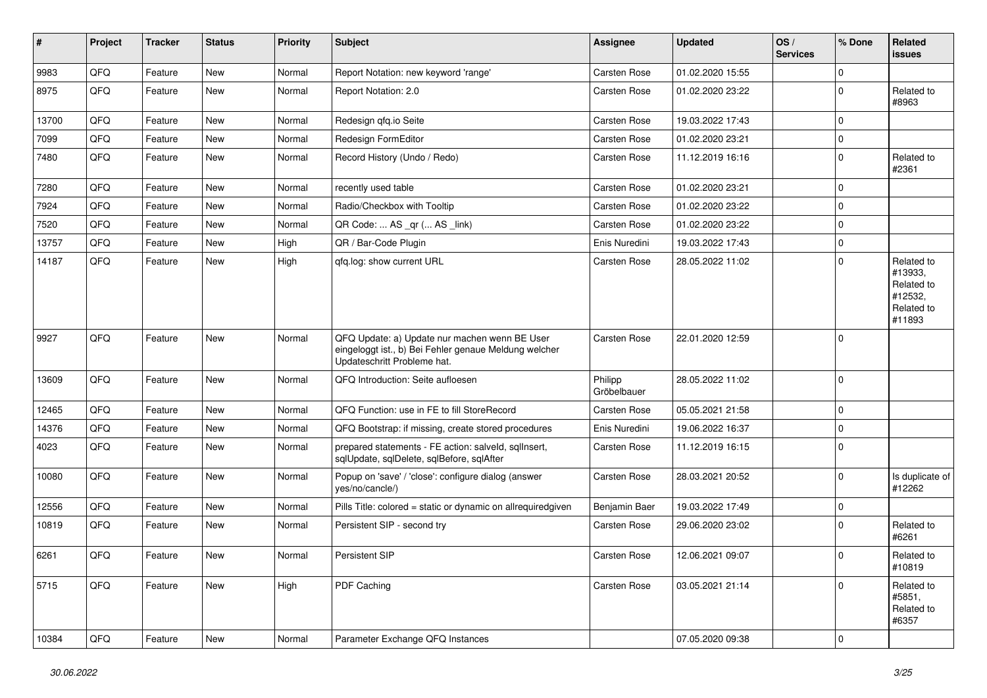| #     | Project | <b>Tracker</b> | <b>Status</b> | <b>Priority</b> | <b>Subject</b>                                                                                                                        | <b>Assignee</b>        | <b>Updated</b>   | OS/<br><b>Services</b> | % Done      | Related<br><b>issues</b>                                               |
|-------|---------|----------------|---------------|-----------------|---------------------------------------------------------------------------------------------------------------------------------------|------------------------|------------------|------------------------|-------------|------------------------------------------------------------------------|
| 9983  | QFQ     | Feature        | New           | Normal          | Report Notation: new keyword 'range'                                                                                                  | <b>Carsten Rose</b>    | 01.02.2020 15:55 |                        | $\mathbf 0$ |                                                                        |
| 8975  | QFQ     | Feature        | New           | Normal          | Report Notation: 2.0                                                                                                                  | Carsten Rose           | 01.02.2020 23:22 |                        | $\mathbf 0$ | Related to<br>#8963                                                    |
| 13700 | QFQ     | Feature        | <b>New</b>    | Normal          | Redesign qfq.io Seite                                                                                                                 | <b>Carsten Rose</b>    | 19.03.2022 17:43 |                        | $\mathbf 0$ |                                                                        |
| 7099  | QFQ     | Feature        | <b>New</b>    | Normal          | Redesign FormEditor                                                                                                                   | <b>Carsten Rose</b>    | 01.02.2020 23:21 |                        | $\mathbf 0$ |                                                                        |
| 7480  | QFQ     | Feature        | <b>New</b>    | Normal          | Record History (Undo / Redo)                                                                                                          | Carsten Rose           | 11.12.2019 16:16 |                        | $\mathbf 0$ | Related to<br>#2361                                                    |
| 7280  | QFQ     | Feature        | <b>New</b>    | Normal          | recently used table                                                                                                                   | <b>Carsten Rose</b>    | 01.02.2020 23:21 |                        | $\mathbf 0$ |                                                                        |
| 7924  | QFQ     | Feature        | <b>New</b>    | Normal          | Radio/Checkbox with Tooltip                                                                                                           | <b>Carsten Rose</b>    | 01.02.2020 23:22 |                        | $\mathbf 0$ |                                                                        |
| 7520  | QFQ     | Feature        | <b>New</b>    | Normal          | QR Code:  AS _qr ( AS _link)                                                                                                          | <b>Carsten Rose</b>    | 01.02.2020 23:22 |                        | $\mathbf 0$ |                                                                        |
| 13757 | QFQ     | Feature        | New           | High            | QR / Bar-Code Plugin                                                                                                                  | Enis Nuredini          | 19.03.2022 17:43 |                        | $\mathbf 0$ |                                                                        |
| 14187 | QFQ     | Feature        | <b>New</b>    | High            | qfq.log: show current URL                                                                                                             | Carsten Rose           | 28.05.2022 11:02 |                        | $\mathbf 0$ | Related to<br>#13933,<br>Related to<br>#12532,<br>Related to<br>#11893 |
| 9927  | QFQ     | Feature        | New           | Normal          | QFQ Update: a) Update nur machen wenn BE User<br>eingeloggt ist., b) Bei Fehler genaue Meldung welcher<br>Updateschritt Probleme hat. | Carsten Rose           | 22.01.2020 12:59 |                        | $\mathbf 0$ |                                                                        |
| 13609 | QFQ     | Feature        | New           | Normal          | QFQ Introduction: Seite aufloesen                                                                                                     | Philipp<br>Gröbelbauer | 28.05.2022 11:02 |                        | 0           |                                                                        |
| 12465 | QFQ     | Feature        | <b>New</b>    | Normal          | QFQ Function: use in FE to fill StoreRecord                                                                                           | <b>Carsten Rose</b>    | 05.05.2021 21:58 |                        | $\mathbf 0$ |                                                                        |
| 14376 | QFQ     | Feature        | <b>New</b>    | Normal          | QFQ Bootstrap: if missing, create stored procedures                                                                                   | Enis Nuredini          | 19.06.2022 16:37 |                        | 0           |                                                                        |
| 4023  | QFQ     | Feature        | New           | Normal          | prepared statements - FE action: salveld, sqllnsert,<br>sqlUpdate, sqlDelete, sqlBefore, sqlAfter                                     | Carsten Rose           | 11.12.2019 16:15 |                        | $\mathbf 0$ |                                                                        |
| 10080 | QFQ     | Feature        | <b>New</b>    | Normal          | Popup on 'save' / 'close': configure dialog (answer<br>yes/no/cancle/)                                                                | <b>Carsten Rose</b>    | 28.03.2021 20:52 |                        | $\mathbf 0$ | Is duplicate of<br>#12262                                              |
| 12556 | QFQ     | Feature        | <b>New</b>    | Normal          | Pills Title: colored = static or dynamic on allrequiredgiven                                                                          | Benjamin Baer          | 19.03.2022 17:49 |                        | 0           |                                                                        |
| 10819 | QFQ     | Feature        | New           | Normal          | Persistent SIP - second try                                                                                                           | Carsten Rose           | 29.06.2020 23:02 |                        | $\Omega$    | Related to<br>#6261                                                    |
| 6261  | QFQ     | Feature        | New           | Normal          | Persistent SIP                                                                                                                        | Carsten Rose           | 12.06.2021 09:07 |                        | $\mathbf 0$ | Related to<br>#10819                                                   |
| 5715  | QFQ     | Feature        | New           | High            | PDF Caching                                                                                                                           | Carsten Rose           | 03.05.2021 21:14 |                        | $\mathbf 0$ | Related to<br>#5851,<br>Related to<br>#6357                            |
| 10384 | QFG     | Feature        | New           | Normal          | Parameter Exchange QFQ Instances                                                                                                      |                        | 07.05.2020 09:38 |                        | $\pmb{0}$   |                                                                        |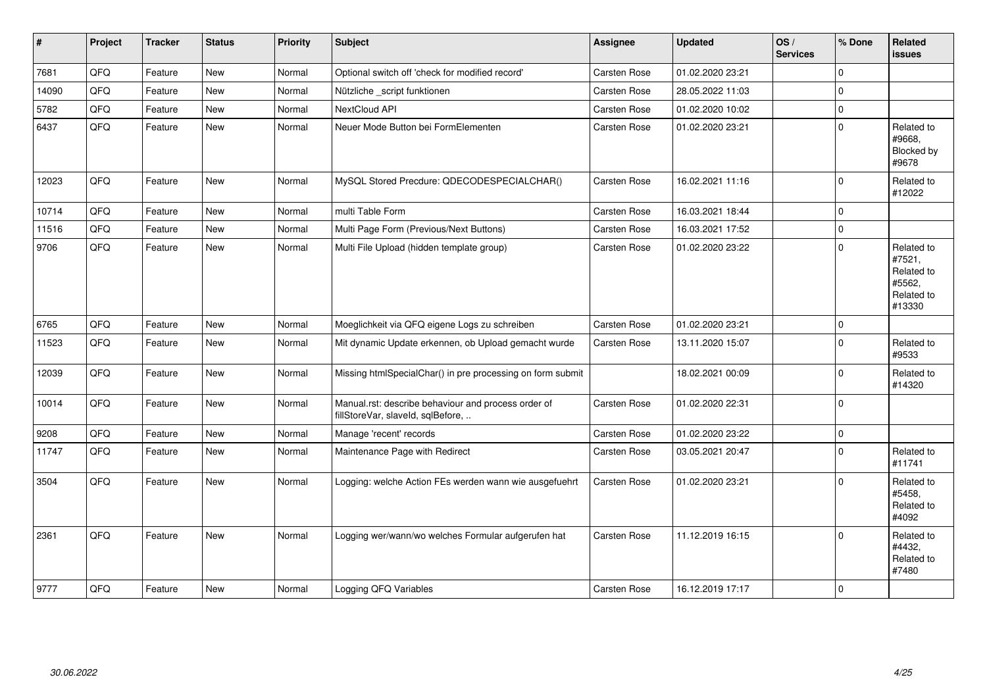| $\vert$ # | Project | <b>Tracker</b> | <b>Status</b> | <b>Priority</b> | <b>Subject</b>                                                                           | <b>Assignee</b>     | <b>Updated</b>   | OS/<br><b>Services</b> | % Done       | <b>Related</b><br><b>issues</b>                                      |
|-----------|---------|----------------|---------------|-----------------|------------------------------------------------------------------------------------------|---------------------|------------------|------------------------|--------------|----------------------------------------------------------------------|
| 7681      | QFQ     | Feature        | New           | Normal          | Optional switch off 'check for modified record'                                          | <b>Carsten Rose</b> | 01.02.2020 23:21 |                        | $\Omega$     |                                                                      |
| 14090     | QFQ     | Feature        | <b>New</b>    | Normal          | Nützliche _script funktionen                                                             | <b>Carsten Rose</b> | 28.05.2022 11:03 |                        | $\Omega$     |                                                                      |
| 5782      | QFQ     | Feature        | <b>New</b>    | Normal          | <b>NextCloud API</b>                                                                     | Carsten Rose        | 01.02.2020 10:02 |                        | $\mathbf{0}$ |                                                                      |
| 6437      | QFQ     | Feature        | <b>New</b>    | Normal          | Neuer Mode Button bei FormElementen                                                      | <b>Carsten Rose</b> | 01.02.2020 23:21 |                        | $\Omega$     | Related to<br>#9668,<br>Blocked by<br>#9678                          |
| 12023     | QFQ     | Feature        | New           | Normal          | MySQL Stored Precdure: QDECODESPECIALCHAR()                                              | Carsten Rose        | 16.02.2021 11:16 |                        | $\Omega$     | Related to<br>#12022                                                 |
| 10714     | QFQ     | Feature        | New           | Normal          | multi Table Form                                                                         | Carsten Rose        | 16.03.2021 18:44 |                        | $\mathbf 0$  |                                                                      |
| 11516     | QFQ     | Feature        | <b>New</b>    | Normal          | Multi Page Form (Previous/Next Buttons)                                                  | Carsten Rose        | 16.03.2021 17:52 |                        | $\mathbf 0$  |                                                                      |
| 9706      | QFQ     | Feature        | <b>New</b>    | Normal          | Multi File Upload (hidden template group)                                                | <b>Carsten Rose</b> | 01.02.2020 23:22 |                        | $\Omega$     | Related to<br>#7521,<br>Related to<br>#5562,<br>Related to<br>#13330 |
| 6765      | QFQ     | Feature        | New           | Normal          | Moeglichkeit via QFQ eigene Logs zu schreiben                                            | Carsten Rose        | 01.02.2020 23:21 |                        | $\mathbf{0}$ |                                                                      |
| 11523     | QFQ     | Feature        | New           | Normal          | Mit dynamic Update erkennen, ob Upload gemacht wurde                                     | Carsten Rose        | 13.11.2020 15:07 |                        | $\Omega$     | Related to<br>#9533                                                  |
| 12039     | QFQ     | Feature        | New           | Normal          | Missing htmlSpecialChar() in pre processing on form submit                               |                     | 18.02.2021 00:09 |                        | $\Omega$     | Related to<br>#14320                                                 |
| 10014     | QFQ     | Feature        | New           | Normal          | Manual.rst: describe behaviour and process order of<br>fillStoreVar, slaveId, sqlBefore, | Carsten Rose        | 01.02.2020 22:31 |                        | $\Omega$     |                                                                      |
| 9208      | QFQ     | Feature        | <b>New</b>    | Normal          | Manage 'recent' records                                                                  | <b>Carsten Rose</b> | 01.02.2020 23:22 |                        | 0            |                                                                      |
| 11747     | QFQ     | Feature        | New           | Normal          | Maintenance Page with Redirect                                                           | <b>Carsten Rose</b> | 03.05.2021 20:47 |                        | 0            | Related to<br>#11741                                                 |
| 3504      | QFQ     | Feature        | New           | Normal          | Logging: welche Action FEs werden wann wie ausgefuehrt                                   | <b>Carsten Rose</b> | 01.02.2020 23:21 |                        | 0            | Related to<br>#5458,<br>Related to<br>#4092                          |
| 2361      | QFQ     | Feature        | <b>New</b>    | Normal          | Logging wer/wann/wo welches Formular aufgerufen hat                                      | <b>Carsten Rose</b> | 11.12.2019 16:15 |                        | $\Omega$     | Related to<br>#4432,<br>Related to<br>#7480                          |
| 9777      | QFQ     | Feature        | New           | Normal          | Logging QFQ Variables                                                                    | <b>Carsten Rose</b> | 16.12.2019 17:17 |                        | $\mathbf 0$  |                                                                      |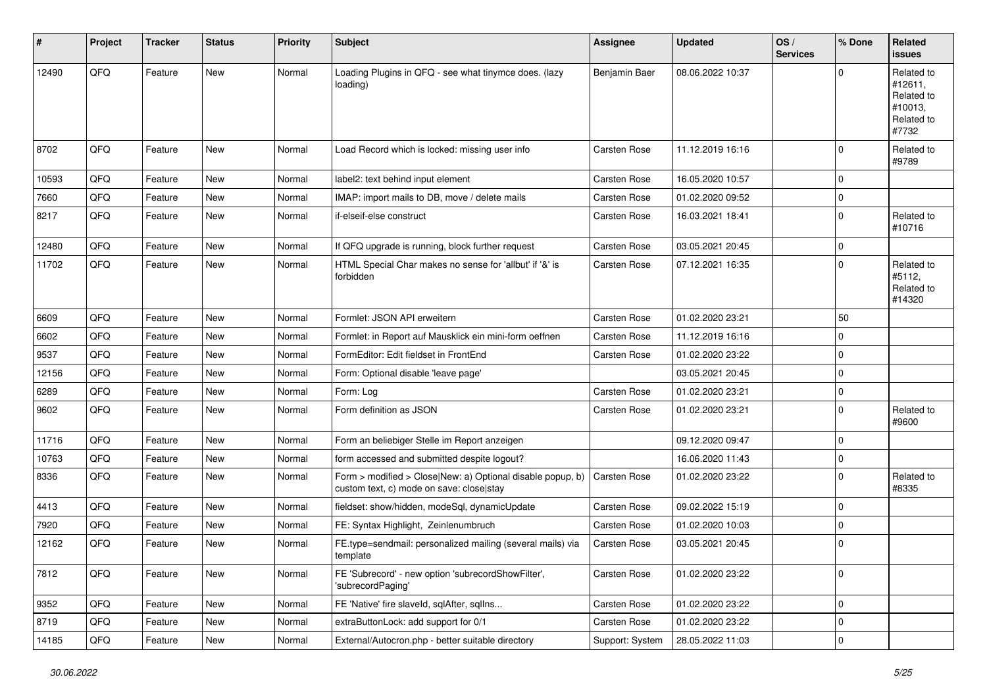| $\vert$ # | Project | <b>Tracker</b> | <b>Status</b> | <b>Priority</b> | <b>Subject</b>                                                                                         | <b>Assignee</b>     | <b>Updated</b>   | OS/<br><b>Services</b> | % Done      | Related<br><b>issues</b>                                              |
|-----------|---------|----------------|---------------|-----------------|--------------------------------------------------------------------------------------------------------|---------------------|------------------|------------------------|-------------|-----------------------------------------------------------------------|
| 12490     | QFQ     | Feature        | New           | Normal          | Loading Plugins in QFQ - see what tinymce does. (lazy<br>loading)                                      | Benjamin Baer       | 08.06.2022 10:37 |                        | $\Omega$    | Related to<br>#12611.<br>Related to<br>#10013,<br>Related to<br>#7732 |
| 8702      | QFQ     | Feature        | <b>New</b>    | Normal          | Load Record which is locked: missing user info                                                         | <b>Carsten Rose</b> | 11.12.2019 16:16 |                        | $\mathbf 0$ | Related to<br>#9789                                                   |
| 10593     | QFQ     | Feature        | <b>New</b>    | Normal          | label2: text behind input element                                                                      | Carsten Rose        | 16.05.2020 10:57 |                        | 0           |                                                                       |
| 7660      | QFQ     | Feature        | <b>New</b>    | Normal          | IMAP: import mails to DB, move / delete mails                                                          | <b>Carsten Rose</b> | 01.02.2020 09:52 |                        | 0           |                                                                       |
| 8217      | QFQ     | Feature        | New           | Normal          | if-elseif-else construct                                                                               | Carsten Rose        | 16.03.2021 18:41 |                        | 0           | Related to<br>#10716                                                  |
| 12480     | QFQ     | Feature        | <b>New</b>    | Normal          | If QFQ upgrade is running, block further request                                                       | Carsten Rose        | 03.05.2021 20:45 |                        | $\mathbf 0$ |                                                                       |
| 11702     | QFQ     | Feature        | New           | Normal          | HTML Special Char makes no sense for 'allbut' if '&' is<br>forbidden                                   | Carsten Rose        | 07.12.2021 16:35 |                        | 0           | Related to<br>#5112,<br>Related to<br>#14320                          |
| 6609      | QFQ     | Feature        | <b>New</b>    | Normal          | Formlet: JSON API erweitern                                                                            | <b>Carsten Rose</b> | 01.02.2020 23:21 |                        | 50          |                                                                       |
| 6602      | QFQ     | Feature        | New           | Normal          | Formlet: in Report auf Mausklick ein mini-form oeffnen                                                 | Carsten Rose        | 11.12.2019 16:16 |                        | 0           |                                                                       |
| 9537      | QFQ     | Feature        | <b>New</b>    | Normal          | FormEditor: Edit fieldset in FrontEnd                                                                  | Carsten Rose        | 01.02.2020 23:22 |                        | $\mathbf 0$ |                                                                       |
| 12156     | QFQ     | Feature        | New           | Normal          | Form: Optional disable 'leave page'                                                                    |                     | 03.05.2021 20:45 |                        | 0           |                                                                       |
| 6289      | QFQ     | Feature        | New           | Normal          | Form: Log                                                                                              | <b>Carsten Rose</b> | 01.02.2020 23:21 |                        | 0           |                                                                       |
| 9602      | QFQ     | Feature        | <b>New</b>    | Normal          | Form definition as JSON                                                                                | Carsten Rose        | 01.02.2020 23:21 |                        | $\mathbf 0$ | Related to<br>#9600                                                   |
| 11716     | QFQ     | Feature        | <b>New</b>    | Normal          | Form an beliebiger Stelle im Report anzeigen                                                           |                     | 09.12.2020 09:47 |                        | $\mathbf 0$ |                                                                       |
| 10763     | QFQ     | Feature        | <b>New</b>    | Normal          | form accessed and submitted despite logout?                                                            |                     | 16.06.2020 11:43 |                        | 0           |                                                                       |
| 8336      | QFQ     | Feature        | New           | Normal          | Form > modified > Close New: a) Optional disable popup, b)<br>custom text, c) mode on save: close stay | Carsten Rose        | 01.02.2020 23:22 |                        | $\mathbf 0$ | Related to<br>#8335                                                   |
| 4413      | QFQ     | Feature        | New           | Normal          | fieldset: show/hidden, modeSql, dynamicUpdate                                                          | Carsten Rose        | 09.02.2022 15:19 |                        | 0           |                                                                       |
| 7920      | QFQ     | Feature        | <b>New</b>    | Normal          | FE: Syntax Highlight, Zeinlenumbruch                                                                   | Carsten Rose        | 01.02.2020 10:03 |                        | 0           |                                                                       |
| 12162     | QFQ     | Feature        | <b>New</b>    | Normal          | FE.type=sendmail: personalized mailing (several mails) via<br>template                                 | Carsten Rose        | 03.05.2021 20:45 |                        | $\mathbf 0$ |                                                                       |
| 7812      | QFQ     | Feature        | New           | Normal          | FE 'Subrecord' - new option 'subrecordShowFilter',<br>'subrecordPaging'                                | Carsten Rose        | 01.02.2020 23:22 |                        | 0           |                                                                       |
| 9352      | QFQ     | Feature        | New           | Normal          | FE 'Native' fire slaveld, sqlAfter, sqlIns                                                             | Carsten Rose        | 01.02.2020 23:22 |                        | 0           |                                                                       |
| 8719      | QFQ     | Feature        | New           | Normal          | extraButtonLock: add support for 0/1                                                                   | Carsten Rose        | 01.02.2020 23:22 |                        | 0           |                                                                       |
| 14185     | QFQ     | Feature        | New           | Normal          | External/Autocron.php - better suitable directory                                                      | Support: System     | 28.05.2022 11:03 |                        | $\pmb{0}$   |                                                                       |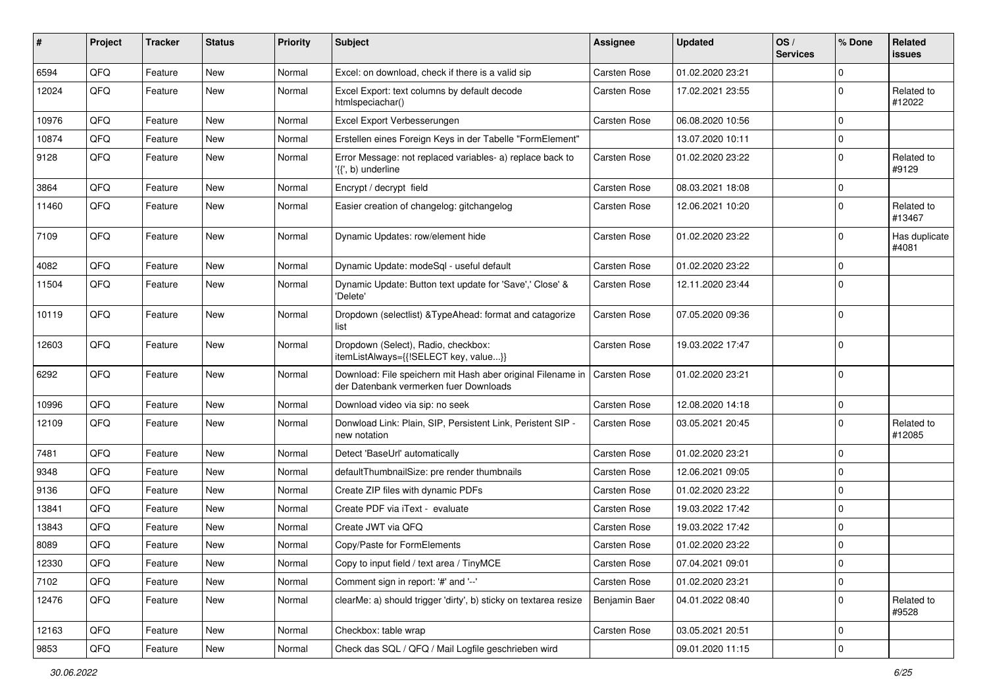| #     | Project | <b>Tracker</b> | <b>Status</b> | <b>Priority</b> | Subject                                                                                               | <b>Assignee</b>     | <b>Updated</b>   | OS/<br><b>Services</b> | % Done      | <b>Related</b><br><b>issues</b> |
|-------|---------|----------------|---------------|-----------------|-------------------------------------------------------------------------------------------------------|---------------------|------------------|------------------------|-------------|---------------------------------|
| 6594  | QFQ     | Feature        | New           | Normal          | Excel: on download, check if there is a valid sip                                                     | <b>Carsten Rose</b> | 01.02.2020 23:21 |                        | 0           |                                 |
| 12024 | QFQ     | Feature        | New           | Normal          | Excel Export: text columns by default decode<br>htmlspeciachar()                                      | Carsten Rose        | 17.02.2021 23:55 |                        | $\mathbf 0$ | Related to<br>#12022            |
| 10976 | QFQ     | Feature        | <b>New</b>    | Normal          | Excel Export Verbesserungen                                                                           | Carsten Rose        | 06.08.2020 10:56 |                        | 0           |                                 |
| 10874 | QFQ     | Feature        | New           | Normal          | Erstellen eines Foreign Keys in der Tabelle "FormElement"                                             |                     | 13.07.2020 10:11 |                        | 0           |                                 |
| 9128  | QFQ     | Feature        | New           | Normal          | Error Message: not replaced variables- a) replace back to<br>'{{', b) underline                       | <b>Carsten Rose</b> | 01.02.2020 23:22 |                        | $\mathbf 0$ | Related to<br>#9129             |
| 3864  | QFQ     | Feature        | <b>New</b>    | Normal          | Encrypt / decrypt field                                                                               | Carsten Rose        | 08.03.2021 18:08 |                        | 0           |                                 |
| 11460 | QFQ     | Feature        | <b>New</b>    | Normal          | Easier creation of changelog: gitchangelog                                                            | Carsten Rose        | 12.06.2021 10:20 |                        | $\mathbf 0$ | Related to<br>#13467            |
| 7109  | QFQ     | Feature        | <b>New</b>    | Normal          | Dynamic Updates: row/element hide                                                                     | Carsten Rose        | 01.02.2020 23:22 |                        | 0           | Has duplicate<br>#4081          |
| 4082  | QFQ     | Feature        | <b>New</b>    | Normal          | Dynamic Update: modeSql - useful default                                                              | <b>Carsten Rose</b> | 01.02.2020 23:22 |                        | 0           |                                 |
| 11504 | QFQ     | Feature        | New           | Normal          | Dynamic Update: Button text update for 'Save',' Close' &<br>'Delete'                                  | Carsten Rose        | 12.11.2020 23:44 |                        | $\Omega$    |                                 |
| 10119 | QFQ     | Feature        | <b>New</b>    | Normal          | Dropdown (selectlist) & TypeAhead: format and catagorize<br>list                                      | Carsten Rose        | 07.05.2020 09:36 |                        | $\mathbf 0$ |                                 |
| 12603 | QFQ     | Feature        | <b>New</b>    | Normal          | Dropdown (Select), Radio, checkbox:<br>itemListAlways={{!SELECT key, value}}                          | Carsten Rose        | 19.03.2022 17:47 |                        | $\mathbf 0$ |                                 |
| 6292  | QFQ     | Feature        | <b>New</b>    | Normal          | Download: File speichern mit Hash aber original Filename in<br>der Datenbank vermerken fuer Downloads | <b>Carsten Rose</b> | 01.02.2020 23:21 |                        | $\mathbf 0$ |                                 |
| 10996 | QFQ     | Feature        | <b>New</b>    | Normal          | Download video via sip: no seek                                                                       | Carsten Rose        | 12.08.2020 14:18 |                        | $\mathbf 0$ |                                 |
| 12109 | QFQ     | Feature        | New           | Normal          | Donwload Link: Plain, SIP, Persistent Link, Peristent SIP -<br>new notation                           | Carsten Rose        | 03.05.2021 20:45 |                        | $\mathbf 0$ | Related to<br>#12085            |
| 7481  | QFQ     | Feature        | <b>New</b>    | Normal          | Detect 'BaseUrl' automatically                                                                        | Carsten Rose        | 01.02.2020 23:21 |                        | 0           |                                 |
| 9348  | QFQ     | Feature        | <b>New</b>    | Normal          | defaultThumbnailSize: pre render thumbnails                                                           | Carsten Rose        | 12.06.2021 09:05 |                        | 0           |                                 |
| 9136  | QFQ     | Feature        | New           | Normal          | Create ZIP files with dynamic PDFs                                                                    | Carsten Rose        | 01.02.2020 23:22 |                        | 0           |                                 |
| 13841 | QFQ     | Feature        | <b>New</b>    | Normal          | Create PDF via iText - evaluate                                                                       | <b>Carsten Rose</b> | 19.03.2022 17:42 |                        | 0           |                                 |
| 13843 | QFQ     | Feature        | New           | Normal          | Create JWT via QFQ                                                                                    | Carsten Rose        | 19.03.2022 17:42 |                        | 0           |                                 |
| 8089  | QFQ     | Feature        | New           | Normal          | Copy/Paste for FormElements                                                                           | Carsten Rose        | 01.02.2020 23:22 |                        | 0           |                                 |
| 12330 | QFQ     | Feature        | New           | Normal          | Copy to input field / text area / TinyMCE                                                             | <b>Carsten Rose</b> | 07.04.2021 09:01 |                        | 0           |                                 |
| 7102  | QFQ     | Feature        | New           | Normal          | Comment sign in report: '#' and '--'                                                                  | Carsten Rose        | 01.02.2020 23:21 |                        | 0           |                                 |
| 12476 | QFQ     | Feature        | New           | Normal          | clearMe: a) should trigger 'dirty', b) sticky on textarea resize                                      | Benjamin Baer       | 04.01.2022 08:40 |                        | 0           | Related to<br>#9528             |
| 12163 | QFQ     | Feature        | <b>New</b>    | Normal          | Checkbox: table wrap                                                                                  | Carsten Rose        | 03.05.2021 20:51 |                        | 0           |                                 |
| 9853  | QFG     | Feature        | New           | Normal          | Check das SQL / QFQ / Mail Logfile geschrieben wird                                                   |                     | 09.01.2020 11:15 |                        | 0           |                                 |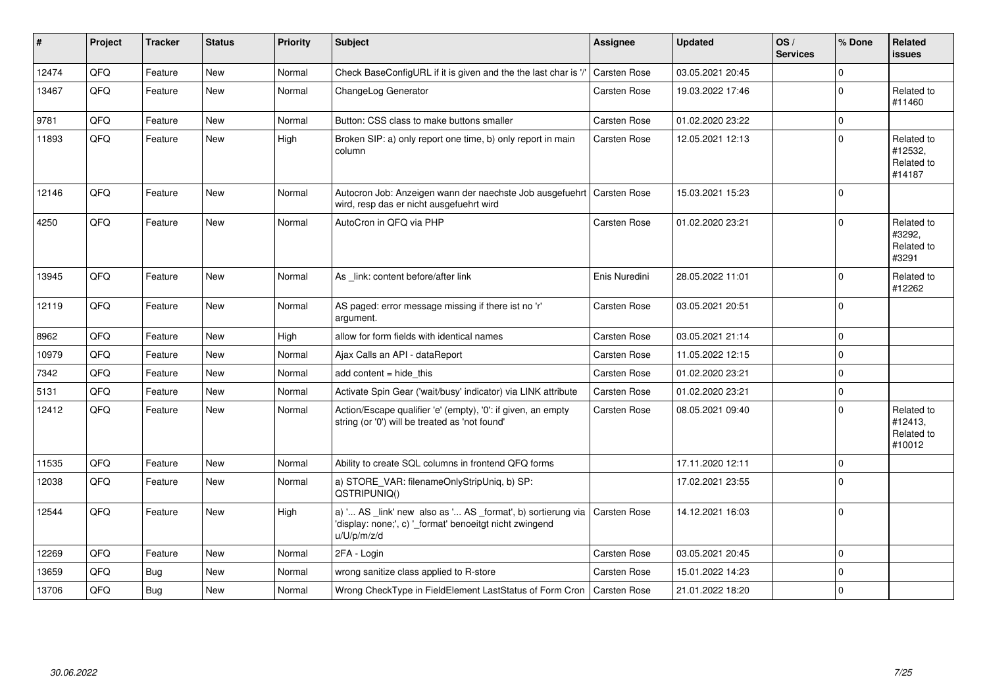| #     | Project | <b>Tracker</b> | <b>Status</b> | <b>Priority</b> | <b>Subject</b>                                                                                                                        | <b>Assignee</b>     | <b>Updated</b>   | OS/<br><b>Services</b> | % Done       | Related<br><b>issues</b>                      |
|-------|---------|----------------|---------------|-----------------|---------------------------------------------------------------------------------------------------------------------------------------|---------------------|------------------|------------------------|--------------|-----------------------------------------------|
| 12474 | QFQ     | Feature        | <b>New</b>    | Normal          | Check BaseConfigURL if it is given and the the last char is '/'                                                                       | <b>Carsten Rose</b> | 03.05.2021 20:45 |                        | 0            |                                               |
| 13467 | QFQ     | Feature        | New           | Normal          | ChangeLog Generator                                                                                                                   | Carsten Rose        | 19.03.2022 17:46 |                        | $\Omega$     | Related to<br>#11460                          |
| 9781  | QFQ     | Feature        | <b>New</b>    | Normal          | Button: CSS class to make buttons smaller                                                                                             | Carsten Rose        | 01.02.2020 23:22 |                        | $\mathbf 0$  |                                               |
| 11893 | QFQ     | Feature        | <b>New</b>    | High            | Broken SIP: a) only report one time, b) only report in main<br>column                                                                 | Carsten Rose        | 12.05.2021 12:13 |                        | $\Omega$     | Related to<br>#12532.<br>Related to<br>#14187 |
| 12146 | QFQ     | Feature        | <b>New</b>    | Normal          | Autocron Job: Anzeigen wann der naechste Job ausgefuehrt<br>wird, resp das er nicht ausgefuehrt wird                                  | <b>Carsten Rose</b> | 15.03.2021 15:23 |                        | $\Omega$     |                                               |
| 4250  | QFQ     | Feature        | <b>New</b>    | Normal          | AutoCron in QFQ via PHP                                                                                                               | <b>Carsten Rose</b> | 01.02.2020 23:21 |                        | $\Omega$     | Related to<br>#3292,<br>Related to<br>#3291   |
| 13945 | QFQ     | Feature        | New           | Normal          | As link: content before/after link                                                                                                    | Enis Nuredini       | 28.05.2022 11:01 |                        | $\Omega$     | Related to<br>#12262                          |
| 12119 | QFQ     | Feature        | New           | Normal          | AS paged: error message missing if there ist no 'r'<br>argument.                                                                      | Carsten Rose        | 03.05.2021 20:51 |                        | $\Omega$     |                                               |
| 8962  | QFQ     | Feature        | <b>New</b>    | High            | allow for form fields with identical names                                                                                            | Carsten Rose        | 03.05.2021 21:14 |                        | $\mathbf 0$  |                                               |
| 10979 | QFQ     | Feature        | <b>New</b>    | Normal          | Ajax Calls an API - dataReport                                                                                                        | <b>Carsten Rose</b> | 11.05.2022 12:15 |                        | 0            |                                               |
| 7342  | QFQ     | Feature        | <b>New</b>    | Normal          | add content = hide this                                                                                                               | <b>Carsten Rose</b> | 01.02.2020 23:21 |                        | $\mathbf{0}$ |                                               |
| 5131  | QFQ     | Feature        | <b>New</b>    | Normal          | Activate Spin Gear ('wait/busy' indicator) via LINK attribute                                                                         | <b>Carsten Rose</b> | 01.02.2020 23:21 |                        | $\mathbf 0$  |                                               |
| 12412 | QFQ     | Feature        | <b>New</b>    | Normal          | Action/Escape qualifier 'e' (empty), '0': if given, an empty<br>string (or '0') will be treated as 'not found'                        | Carsten Rose        | 08.05.2021 09:40 |                        | $\Omega$     | Related to<br>#12413.<br>Related to<br>#10012 |
| 11535 | QFQ     | Feature        | <b>New</b>    | Normal          | Ability to create SQL columns in frontend QFQ forms                                                                                   |                     | 17.11.2020 12:11 |                        | $\mathbf 0$  |                                               |
| 12038 | QFQ     | Feature        | <b>New</b>    | Normal          | a) STORE_VAR: filenameOnlyStripUniq, b) SP:<br>QSTRIPUNIQ()                                                                           |                     | 17.02.2021 23:55 |                        | $\Omega$     |                                               |
| 12544 | QFQ     | Feature        | New           | High            | a) ' AS _link' new also as ' AS _format', b) sortierung via<br>'display: none;', c) '_format' benoeitgt nicht zwingend<br>u/U/p/m/z/d | <b>Carsten Rose</b> | 14.12.2021 16:03 |                        | $\Omega$     |                                               |
| 12269 | QFQ     | Feature        | <b>New</b>    | Normal          | 2FA - Login                                                                                                                           | Carsten Rose        | 03.05.2021 20:45 |                        | $\mathbf 0$  |                                               |
| 13659 | QFQ     | <b>Bug</b>     | <b>New</b>    | Normal          | wrong sanitize class applied to R-store                                                                                               | Carsten Rose        | 15.01.2022 14:23 |                        | $\Omega$     |                                               |
| 13706 | QFQ     | <b>Bug</b>     | <b>New</b>    | Normal          | Wrong CheckType in FieldElement LastStatus of Form Cron                                                                               | <b>Carsten Rose</b> | 21.01.2022 18:20 |                        | $\mathbf 0$  |                                               |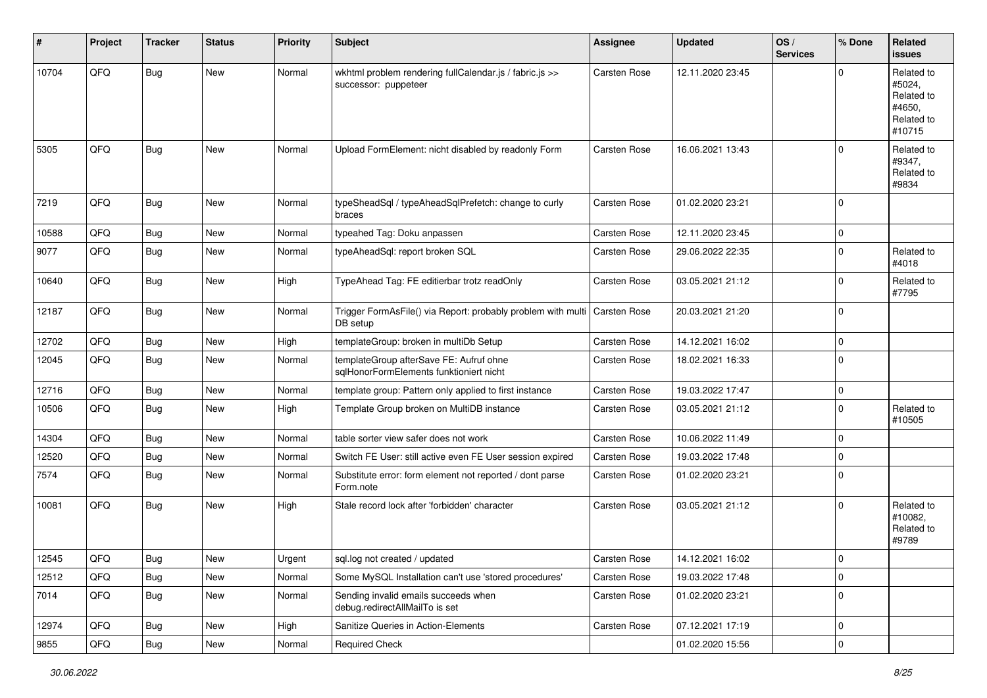| #     | Project | <b>Tracker</b> | <b>Status</b> | <b>Priority</b> | <b>Subject</b>                                                                     | <b>Assignee</b>     | <b>Updated</b>   | OS/<br><b>Services</b> | % Done         | Related<br><b>issues</b>                                             |
|-------|---------|----------------|---------------|-----------------|------------------------------------------------------------------------------------|---------------------|------------------|------------------------|----------------|----------------------------------------------------------------------|
| 10704 | QFQ     | Bug            | New           | Normal          | wkhtml problem rendering fullCalendar.js / fabric.js >><br>successor: puppeteer    | Carsten Rose        | 12.11.2020 23:45 |                        | $\Omega$       | Related to<br>#5024,<br>Related to<br>#4650.<br>Related to<br>#10715 |
| 5305  | QFQ     | Bug            | New           | Normal          | Upload FormElement: nicht disabled by readonly Form                                | Carsten Rose        | 16.06.2021 13:43 |                        | $\Omega$       | Related to<br>#9347,<br>Related to<br>#9834                          |
| 7219  | QFQ     | <b>Bug</b>     | <b>New</b>    | Normal          | typeSheadSql / typeAheadSqlPrefetch: change to curly<br>braces                     | Carsten Rose        | 01.02.2020 23:21 |                        | $\mathbf 0$    |                                                                      |
| 10588 | QFQ     | Bug            | <b>New</b>    | Normal          | typeahed Tag: Doku anpassen                                                        | <b>Carsten Rose</b> | 12.11.2020 23:45 |                        | 0              |                                                                      |
| 9077  | QFQ     | Bug            | <b>New</b>    | Normal          | typeAheadSql: report broken SQL                                                    | Carsten Rose        | 29.06.2022 22:35 |                        | $\mathbf 0$    | Related to<br>#4018                                                  |
| 10640 | QFQ     | Bug            | New           | High            | TypeAhead Tag: FE editierbar trotz readOnly                                        | Carsten Rose        | 03.05.2021 21:12 |                        | $\mathbf 0$    | Related to<br>#7795                                                  |
| 12187 | QFQ     | Bug            | <b>New</b>    | Normal          | Trigger FormAsFile() via Report: probably problem with multi<br>DB setup           | <b>Carsten Rose</b> | 20.03.2021 21:20 |                        | $\mathbf 0$    |                                                                      |
| 12702 | QFQ     | <b>Bug</b>     | <b>New</b>    | High            | templateGroup: broken in multiDb Setup                                             | Carsten Rose        | 14.12.2021 16:02 |                        | $\mathbf 0$    |                                                                      |
| 12045 | QFQ     | Bug            | <b>New</b>    | Normal          | templateGroup afterSave FE: Aufruf ohne<br>sqlHonorFormElements funktioniert nicht | Carsten Rose        | 18.02.2021 16:33 |                        | $\mathbf 0$    |                                                                      |
| 12716 | QFQ     | <b>Bug</b>     | New           | Normal          | template group: Pattern only applied to first instance                             | Carsten Rose        | 19.03.2022 17:47 |                        | $\mathbf 0$    |                                                                      |
| 10506 | QFQ     | Bug            | New           | High            | Template Group broken on MultiDB instance                                          | Carsten Rose        | 03.05.2021 21:12 |                        | $\mathbf 0$    | Related to<br>#10505                                                 |
| 14304 | QFQ     | <b>Bug</b>     | <b>New</b>    | Normal          | table sorter view safer does not work                                              | <b>Carsten Rose</b> | 10.06.2022 11:49 |                        | $\mathbf 0$    |                                                                      |
| 12520 | QFQ     | <b>Bug</b>     | New           | Normal          | Switch FE User: still active even FE User session expired                          | <b>Carsten Rose</b> | 19.03.2022 17:48 |                        | 0              |                                                                      |
| 7574  | QFQ     | <b>Bug</b>     | New           | Normal          | Substitute error: form element not reported / dont parse<br>Form.note              | Carsten Rose        | 01.02.2020 23:21 |                        | $\mathbf 0$    |                                                                      |
| 10081 | QFQ     | Bug            | <b>New</b>    | High            | Stale record lock after 'forbidden' character                                      | Carsten Rose        | 03.05.2021 21:12 |                        | $\mathbf 0$    | Related to<br>#10082,<br>Related to<br>#9789                         |
| 12545 | QFQ     | Bug            | New           | Urgent          | sql.log not created / updated                                                      | Carsten Rose        | 14.12.2021 16:02 |                        | $\pmb{0}$      |                                                                      |
| 12512 | QFQ     | Bug            | New           | Normal          | Some MySQL Installation can't use 'stored procedures'                              | Carsten Rose        | 19.03.2022 17:48 |                        | $\mathbf 0$    |                                                                      |
| 7014  | QFQ     | Bug            | New           | Normal          | Sending invalid emails succeeds when<br>debug.redirectAllMailTo is set             | Carsten Rose        | 01.02.2020 23:21 |                        | $\mathbf 0$    |                                                                      |
| 12974 | QFQ     | <b>Bug</b>     | New           | High            | Sanitize Queries in Action-Elements                                                | Carsten Rose        | 07.12.2021 17:19 |                        | $\overline{0}$ |                                                                      |
| 9855  | QFQ     | Bug            | New           | Normal          | <b>Required Check</b>                                                              |                     | 01.02.2020 15:56 |                        | $\pmb{0}$      |                                                                      |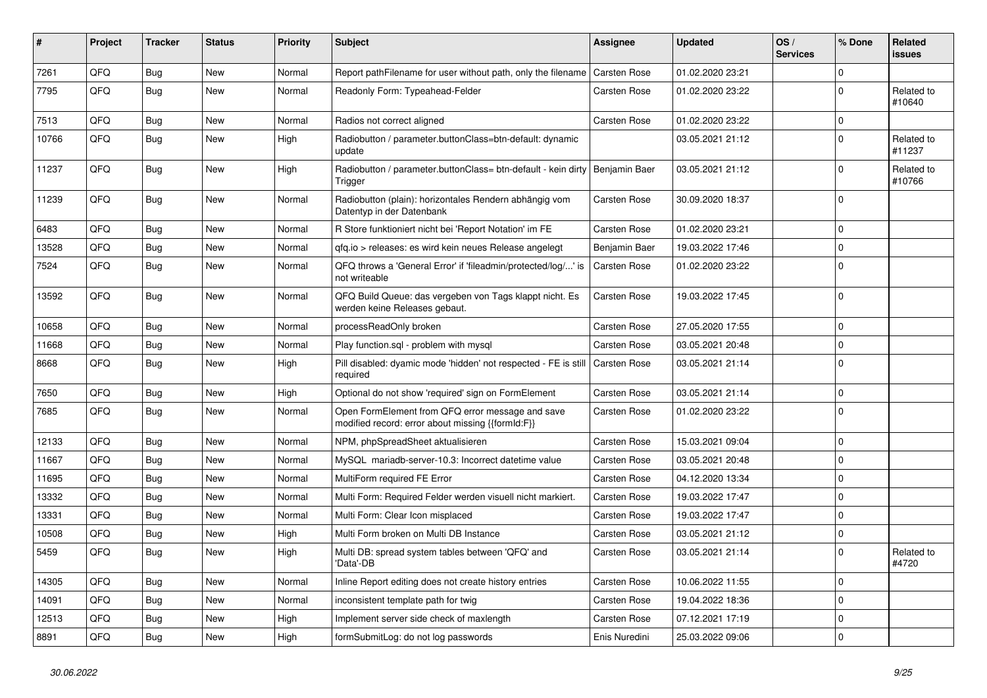| $\vert$ # | <b>Project</b> | <b>Tracker</b> | <b>Status</b> | <b>Priority</b> | <b>Subject</b>                                                                                        | <b>Assignee</b>     | <b>Updated</b>   | OS/<br><b>Services</b> | % Done      | <b>Related</b><br><b>issues</b> |
|-----------|----------------|----------------|---------------|-----------------|-------------------------------------------------------------------------------------------------------|---------------------|------------------|------------------------|-------------|---------------------------------|
| 7261      | QFQ            | <b>Bug</b>     | <b>New</b>    | Normal          | Report pathFilename for user without path, only the filename                                          | <b>Carsten Rose</b> | 01.02.2020 23:21 |                        | 0           |                                 |
| 7795      | QFQ            | <b>Bug</b>     | <b>New</b>    | Normal          | Readonly Form: Typeahead-Felder                                                                       | Carsten Rose        | 01.02.2020 23:22 |                        | 0           | Related to<br>#10640            |
| 7513      | QFQ            | Bug            | <b>New</b>    | Normal          | Radios not correct aligned                                                                            | <b>Carsten Rose</b> | 01.02.2020 23:22 |                        | 0           |                                 |
| 10766     | QFQ            | <b>Bug</b>     | New           | High            | Radiobutton / parameter.buttonClass=btn-default: dynamic<br>update                                    |                     | 03.05.2021 21:12 |                        | 0           | Related to<br>#11237            |
| 11237     | QFQ            | <b>Bug</b>     | <b>New</b>    | High            | Radiobutton / parameter.buttonClass= btn-default - kein dirty<br>Trigger                              | Benjamin Baer       | 03.05.2021 21:12 |                        | $\mathbf 0$ | Related to<br>#10766            |
| 11239     | QFQ            | <b>Bug</b>     | New           | Normal          | Radiobutton (plain): horizontales Rendern abhängig vom<br>Datentyp in der Datenbank                   | <b>Carsten Rose</b> | 30.09.2020 18:37 |                        | $\mathbf 0$ |                                 |
| 6483      | QFQ            | Bug            | <b>New</b>    | Normal          | R Store funktioniert nicht bei 'Report Notation' im FE                                                | <b>Carsten Rose</b> | 01.02.2020 23:21 |                        | 0           |                                 |
| 13528     | QFQ            | <b>Bug</b>     | New           | Normal          | gfg.io > releases: es wird kein neues Release angelegt                                                | Benjamin Baer       | 19.03.2022 17:46 |                        | 0           |                                 |
| 7524      | QFQ            | Bug            | New           | Normal          | QFQ throws a 'General Error' if 'fileadmin/protected/log/' is<br>not writeable                        | Carsten Rose        | 01.02.2020 23:22 |                        | 0           |                                 |
| 13592     | QFQ            | <b>Bug</b>     | <b>New</b>    | Normal          | QFQ Build Queue: das vergeben von Tags klappt nicht. Es<br>werden keine Releases gebaut.              | Carsten Rose        | 19.03.2022 17:45 |                        | 0           |                                 |
| 10658     | QFQ            | <b>Bug</b>     | <b>New</b>    | Normal          | processReadOnly broken                                                                                | <b>Carsten Rose</b> | 27.05.2020 17:55 |                        | 0           |                                 |
| 11668     | QFQ            | Bug            | <b>New</b>    | Normal          | Play function.sql - problem with mysql                                                                | <b>Carsten Rose</b> | 03.05.2021 20:48 |                        | 0           |                                 |
| 8668      | QFQ            | <b>Bug</b>     | <b>New</b>    | High            | Pill disabled: dyamic mode 'hidden' not respected - FE is still<br>required                           | <b>Carsten Rose</b> | 03.05.2021 21:14 |                        | $\mathbf 0$ |                                 |
| 7650      | QFQ            | Bug            | <b>New</b>    | High            | Optional do not show 'required' sign on FormElement                                                   | <b>Carsten Rose</b> | 03.05.2021 21:14 |                        | 0           |                                 |
| 7685      | QFQ            | <b>Bug</b>     | New           | Normal          | Open FormElement from QFQ error message and save<br>modified record: error about missing {{formId:F}} | <b>Carsten Rose</b> | 01.02.2020 23:22 |                        | $\Omega$    |                                 |
| 12133     | QFQ            | Bug            | <b>New</b>    | Normal          | NPM, phpSpreadSheet aktualisieren                                                                     | <b>Carsten Rose</b> | 15.03.2021 09:04 |                        | $\Omega$    |                                 |
| 11667     | QFQ            | <b>Bug</b>     | <b>New</b>    | Normal          | MySQL mariadb-server-10.3: Incorrect datetime value                                                   | Carsten Rose        | 03.05.2021 20:48 |                        | 0           |                                 |
| 11695     | QFQ            | <b>Bug</b>     | <b>New</b>    | Normal          | MultiForm required FE Error                                                                           | <b>Carsten Rose</b> | 04.12.2020 13:34 |                        | 0           |                                 |
| 13332     | QFQ            | Bug            | <b>New</b>    | Normal          | Multi Form: Required Felder werden visuell nicht markiert.                                            | <b>Carsten Rose</b> | 19.03.2022 17:47 |                        | $\Omega$    |                                 |
| 13331     | QFQ            | Bug            | <b>New</b>    | Normal          | Multi Form: Clear Icon misplaced                                                                      | <b>Carsten Rose</b> | 19.03.2022 17:47 |                        | $\mathbf 0$ |                                 |
| 10508     | QFQ            | Bug            | New           | High            | Multi Form broken on Multi DB Instance                                                                | <b>Carsten Rose</b> | 03.05.2021 21:12 |                        | $\Omega$    |                                 |
| 5459      | QFQ            | <b>Bug</b>     | New           | High            | Multi DB: spread system tables between 'QFQ' and<br>'Data'-DB                                         | <b>Carsten Rose</b> | 03.05.2021 21:14 |                        | $\mathbf 0$ | Related to<br>#4720             |
| 14305     | QFQ            | Bug            | <b>New</b>    | Normal          | Inline Report editing does not create history entries                                                 | <b>Carsten Rose</b> | 10.06.2022 11:55 |                        | 0           |                                 |
| 14091     | QFQ            | Bug            | <b>New</b>    | Normal          | inconsistent template path for twig                                                                   | <b>Carsten Rose</b> | 19.04.2022 18:36 |                        | $\Omega$    |                                 |
| 12513     | QFQ            | Bug            | <b>New</b>    | High            | Implement server side check of maxlength                                                              | <b>Carsten Rose</b> | 07.12.2021 17:19 |                        | 0           |                                 |
| 8891      | QFQ            | Bug            | New           | High            | formSubmitLog: do not log passwords                                                                   | Enis Nuredini       | 25.03.2022 09:06 |                        | $\mathbf 0$ |                                 |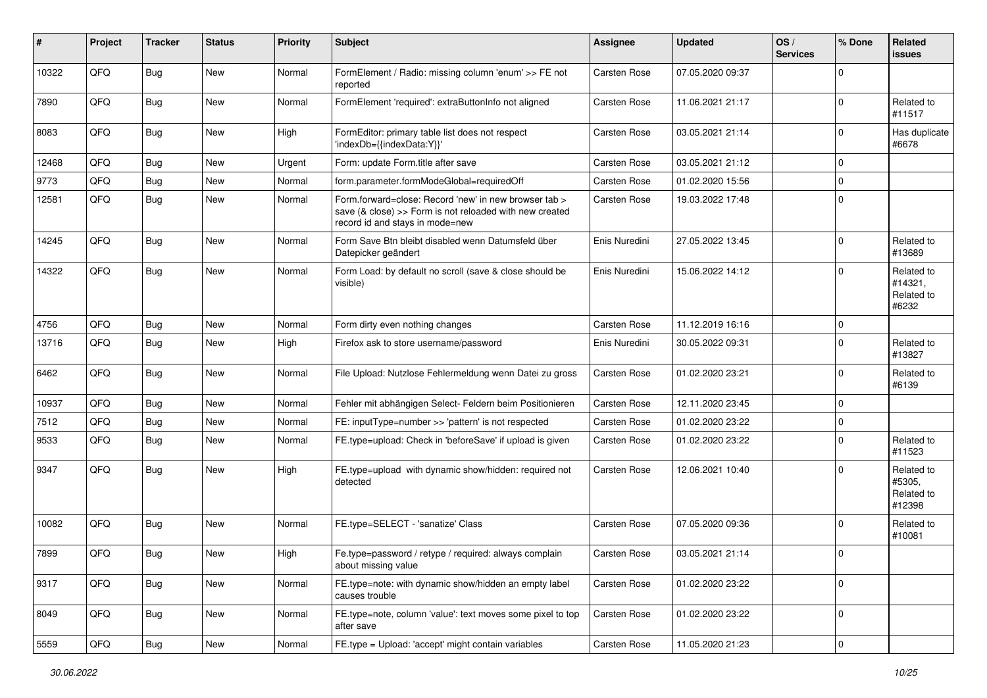| #     | Project | <b>Tracker</b> | <b>Status</b> | <b>Priority</b> | <b>Subject</b>                                                                                                                                      | <b>Assignee</b>     | <b>Updated</b>   | OS/<br><b>Services</b> | % Done      | Related<br><b>issues</b>                     |
|-------|---------|----------------|---------------|-----------------|-----------------------------------------------------------------------------------------------------------------------------------------------------|---------------------|------------------|------------------------|-------------|----------------------------------------------|
| 10322 | QFQ     | <b>Bug</b>     | New           | Normal          | FormElement / Radio: missing column 'enum' >> FE not<br>reported                                                                                    | Carsten Rose        | 07.05.2020 09:37 |                        | $\mathbf 0$ |                                              |
| 7890  | QFQ     | Bug            | <b>New</b>    | Normal          | FormElement 'required': extraButtonInfo not aligned                                                                                                 | <b>Carsten Rose</b> | 11.06.2021 21:17 |                        | 0           | Related to<br>#11517                         |
| 8083  | QFQ     | <b>Bug</b>     | New           | High            | FormEditor: primary table list does not respect<br>'indexDb={{indexData:Y}}'                                                                        | Carsten Rose        | 03.05.2021 21:14 |                        | 0           | Has duplicate<br>#6678                       |
| 12468 | QFQ     | <b>Bug</b>     | <b>New</b>    | Urgent          | Form: update Form.title after save                                                                                                                  | <b>Carsten Rose</b> | 03.05.2021 21:12 |                        | 0           |                                              |
| 9773  | QFQ     | <b>Bug</b>     | <b>New</b>    | Normal          | form.parameter.formModeGlobal=requiredOff                                                                                                           | Carsten Rose        | 01.02.2020 15:56 |                        | 0           |                                              |
| 12581 | QFQ     | <b>Bug</b>     | New           | Normal          | Form.forward=close: Record 'new' in new browser tab ><br>save (& close) >> Form is not reloaded with new created<br>record id and stays in mode=new | Carsten Rose        | 19.03.2022 17:48 |                        | $\mathbf 0$ |                                              |
| 14245 | QFQ     | <b>Bug</b>     | New           | Normal          | Form Save Btn bleibt disabled wenn Datumsfeld über<br>Datepicker geändert                                                                           | Enis Nuredini       | 27.05.2022 13:45 |                        | $\mathbf 0$ | Related to<br>#13689                         |
| 14322 | QFQ     | Bug            | New           | Normal          | Form Load: by default no scroll (save & close should be<br>visible)                                                                                 | Enis Nuredini       | 15.06.2022 14:12 |                        | 0           | Related to<br>#14321.<br>Related to<br>#6232 |
| 4756  | QFQ     | <b>Bug</b>     | <b>New</b>    | Normal          | Form dirty even nothing changes                                                                                                                     | <b>Carsten Rose</b> | 11.12.2019 16:16 |                        | $\mathbf 0$ |                                              |
| 13716 | QFQ     | <b>Bug</b>     | New           | High            | Firefox ask to store username/password                                                                                                              | Enis Nuredini       | 30.05.2022 09:31 |                        | 0           | Related to<br>#13827                         |
| 6462  | QFQ     | <b>Bug</b>     | New           | Normal          | File Upload: Nutzlose Fehlermeldung wenn Datei zu gross                                                                                             | Carsten Rose        | 01.02.2020 23:21 |                        | $\mathbf 0$ | Related to<br>#6139                          |
| 10937 | QFQ     | <b>Bug</b>     | <b>New</b>    | Normal          | Fehler mit abhängigen Select- Feldern beim Positionieren                                                                                            | Carsten Rose        | 12.11.2020 23:45 |                        | 0           |                                              |
| 7512  | QFQ     | Bug            | <b>New</b>    | Normal          | FE: inputType=number >> 'pattern' is not respected                                                                                                  | <b>Carsten Rose</b> | 01.02.2020 23:22 |                        | 0           |                                              |
| 9533  | QFQ     | Bug            | New           | Normal          | FE.type=upload: Check in 'beforeSave' if upload is given                                                                                            | Carsten Rose        | 01.02.2020 23:22 |                        | 0           | Related to<br>#11523                         |
| 9347  | QFQ     | <b>Bug</b>     | New           | High            | FE.type=upload with dynamic show/hidden: required not<br>detected                                                                                   | Carsten Rose        | 12.06.2021 10:40 |                        | $\Omega$    | Related to<br>#5305,<br>Related to<br>#12398 |
| 10082 | QFQ     | Bug            | New           | Normal          | FE.type=SELECT - 'sanatize' Class                                                                                                                   | Carsten Rose        | 07.05.2020 09:36 |                        | $\mathbf 0$ | Related to<br>#10081                         |
| 7899  | QFQ     | Bug            | New           | High            | Fe.type=password / retype / required: always complain<br>about missing value                                                                        | Carsten Rose        | 03.05.2021 21:14 |                        | $\mathbf 0$ |                                              |
| 9317  | QFQ     | Bug            | New           | Normal          | FE.type=note: with dynamic show/hidden an empty label<br>causes trouble                                                                             | Carsten Rose        | 01.02.2020 23:22 |                        | 0           |                                              |
| 8049  | QFQ     | Bug            | New           | Normal          | FE.type=note, column 'value': text moves some pixel to top<br>after save                                                                            | Carsten Rose        | 01.02.2020 23:22 |                        | $\mathbf 0$ |                                              |
| 5559  | QFQ     | <b>Bug</b>     | New           | Normal          | FE.type = Upload: 'accept' might contain variables                                                                                                  | Carsten Rose        | 11.05.2020 21:23 |                        | $\pmb{0}$   |                                              |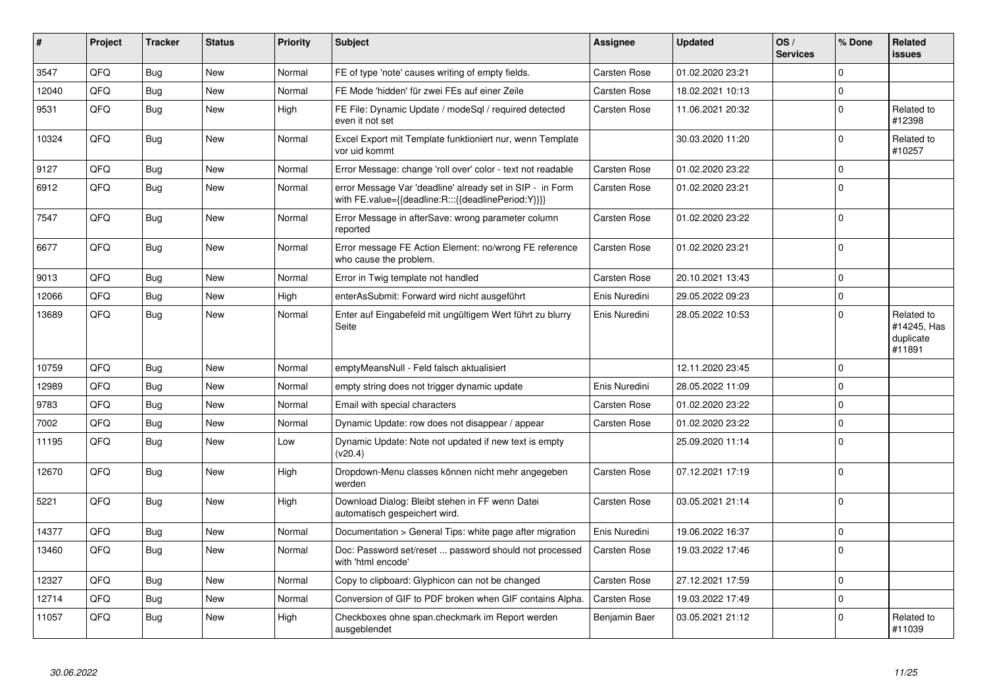| #     | Project | <b>Tracker</b> | <b>Status</b> | <b>Priority</b> | <b>Subject</b>                                                                                                   | <b>Assignee</b>     | <b>Updated</b>   | OS/<br><b>Services</b> | % Done      | <b>Related</b><br>issues                         |
|-------|---------|----------------|---------------|-----------------|------------------------------------------------------------------------------------------------------------------|---------------------|------------------|------------------------|-------------|--------------------------------------------------|
| 3547  | QFQ     | Bug            | <b>New</b>    | Normal          | FE of type 'note' causes writing of empty fields.                                                                | <b>Carsten Rose</b> | 01.02.2020 23:21 |                        | $\Omega$    |                                                  |
| 12040 | QFQ     | <b>Bug</b>     | <b>New</b>    | Normal          | FE Mode 'hidden' für zwei FEs auf einer Zeile                                                                    | <b>Carsten Rose</b> | 18.02.2021 10:13 |                        | $\Omega$    |                                                  |
| 9531  | QFQ     | Bug            | <b>New</b>    | High            | FE File: Dynamic Update / modeSql / required detected<br>even it not set                                         | <b>Carsten Rose</b> | 11.06.2021 20:32 |                        | $\Omega$    | Related to<br>#12398                             |
| 10324 | QFQ     | <b>Bug</b>     | New           | Normal          | Excel Export mit Template funktioniert nur, wenn Template<br>vor uid kommt                                       |                     | 30.03.2020 11:20 |                        | $\Omega$    | Related to<br>#10257                             |
| 9127  | QFQ     | <b>Bug</b>     | <b>New</b>    | Normal          | Error Message: change 'roll over' color - text not readable                                                      | <b>Carsten Rose</b> | 01.02.2020 23:22 |                        | $\Omega$    |                                                  |
| 6912  | QFQ     | Bug            | <b>New</b>    | Normal          | error Message Var 'deadline' already set in SIP - in Form<br>with FE.value={{deadline:R:::{{deadlinePeriod:Y}}}} | Carsten Rose        | 01.02.2020 23:21 |                        | 0           |                                                  |
| 7547  | QFQ     | Bug            | <b>New</b>    | Normal          | Error Message in afterSave: wrong parameter column<br>reported                                                   | <b>Carsten Rose</b> | 01.02.2020 23:22 |                        | $\Omega$    |                                                  |
| 6677  | QFQ     | <b>Bug</b>     | <b>New</b>    | Normal          | Error message FE Action Element: no/wrong FE reference<br>who cause the problem.                                 | Carsten Rose        | 01.02.2020 23:21 |                        | 0           |                                                  |
| 9013  | QFQ     | <b>Bug</b>     | New           | Normal          | Error in Twig template not handled                                                                               | <b>Carsten Rose</b> | 20.10.2021 13:43 |                        | 0           |                                                  |
| 12066 | QFQ     | Bug            | <b>New</b>    | High            | enterAsSubmit: Forward wird nicht ausgeführt                                                                     | Enis Nuredini       | 29.05.2022 09:23 |                        | 0           |                                                  |
| 13689 | QFQ     | Bug            | New           | Normal          | Enter auf Eingabefeld mit ungültigem Wert führt zu blurry<br>Seite                                               | Enis Nuredini       | 28.05.2022 10:53 |                        | $\mathbf 0$ | Related to<br>#14245, Has<br>duplicate<br>#11891 |
| 10759 | QFQ     | <b>Bug</b>     | <b>New</b>    | Normal          | emptyMeansNull - Feld falsch aktualisiert                                                                        |                     | 12.11.2020 23:45 |                        | $\Omega$    |                                                  |
| 12989 | QFQ     | <b>Bug</b>     | <b>New</b>    | Normal          | empty string does not trigger dynamic update                                                                     | Enis Nuredini       | 28.05.2022 11:09 |                        | $\Omega$    |                                                  |
| 9783  | QFQ     | Bug            | <b>New</b>    | Normal          | Email with special characters                                                                                    | <b>Carsten Rose</b> | 01.02.2020 23:22 |                        | $\Omega$    |                                                  |
| 7002  | QFQ     | Bug            | <b>New</b>    | Normal          | Dynamic Update: row does not disappear / appear                                                                  | <b>Carsten Rose</b> | 01.02.2020 23:22 |                        | $\Omega$    |                                                  |
| 11195 | QFQ     | <b>Bug</b>     | <b>New</b>    | Low             | Dynamic Update: Note not updated if new text is empty<br>(v20.4)                                                 |                     | 25.09.2020 11:14 |                        | $\Omega$    |                                                  |
| 12670 | QFQ     | Bug            | <b>New</b>    | High            | Dropdown-Menu classes können nicht mehr angegeben<br>werden                                                      | <b>Carsten Rose</b> | 07.12.2021 17:19 |                        | $\Omega$    |                                                  |
| 5221  | QFQ     | Bug            | New           | High            | Download Dialog: Bleibt stehen in FF wenn Datei<br>automatisch gespeichert wird.                                 | <b>Carsten Rose</b> | 03.05.2021 21:14 |                        | $\Omega$    |                                                  |
| 14377 | QFQ     | <b>Bug</b>     | <b>New</b>    | Normal          | Documentation > General Tips: white page after migration                                                         | Enis Nuredini       | 19.06.2022 16:37 |                        | 0           |                                                  |
| 13460 | QFQ     | <b>Bug</b>     | <b>New</b>    | Normal          | Doc: Password set/reset  password should not processed<br>with 'html encode'                                     | Carsten Rose        | 19.03.2022 17:46 |                        | $\Omega$    |                                                  |
| 12327 | QFQ     | Bug            | <b>New</b>    | Normal          | Copy to clipboard: Glyphicon can not be changed                                                                  | Carsten Rose        | 27.12.2021 17:59 |                        | 0           |                                                  |
| 12714 | QFQ     | <b>Bug</b>     | <b>New</b>    | Normal          | Conversion of GIF to PDF broken when GIF contains Alpha.                                                         | <b>Carsten Rose</b> | 19.03.2022 17:49 |                        | $\mathbf 0$ |                                                  |
| 11057 | QFQ     | Bug            | <b>New</b>    | High            | Checkboxes ohne span.checkmark im Report werden<br>ausgeblendet                                                  | Benjamin Baer       | 03.05.2021 21:12 |                        | 0           | Related to<br>#11039                             |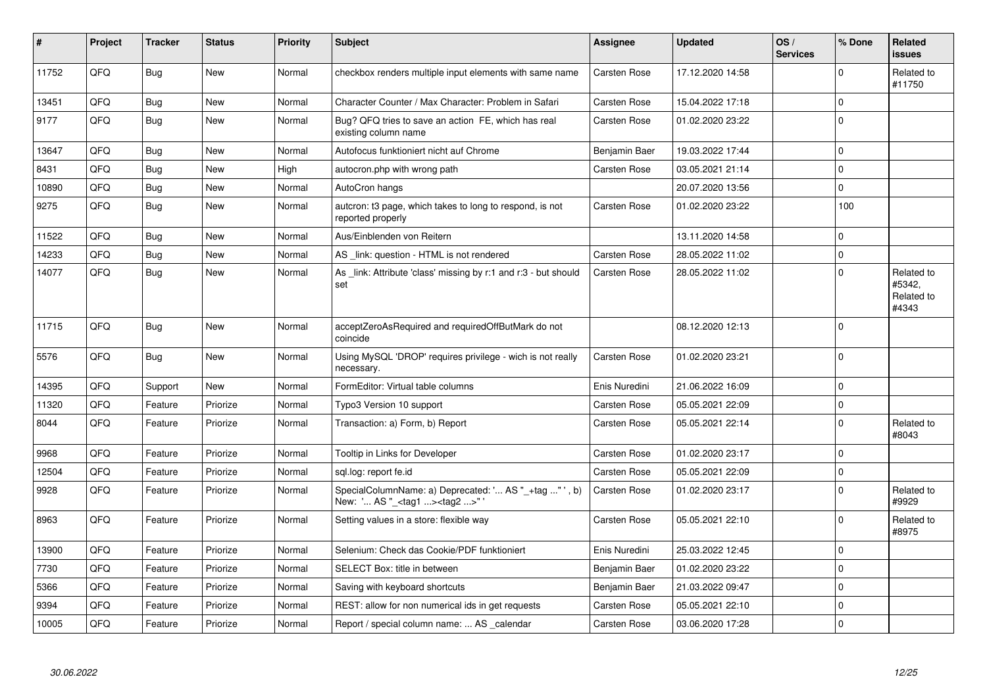| #     | Project | <b>Tracker</b> | <b>Status</b> | <b>Priority</b> | <b>Subject</b>                                                                                      | <b>Assignee</b>     | <b>Updated</b>   | OS/<br><b>Services</b> | % Done       | Related<br>issues                           |
|-------|---------|----------------|---------------|-----------------|-----------------------------------------------------------------------------------------------------|---------------------|------------------|------------------------|--------------|---------------------------------------------|
| 11752 | QFQ     | Bug            | <b>New</b>    | Normal          | checkbox renders multiple input elements with same name                                             | Carsten Rose        | 17.12.2020 14:58 |                        | $\Omega$     | Related to<br>#11750                        |
| 13451 | QFQ     | Bug            | <b>New</b>    | Normal          | Character Counter / Max Character: Problem in Safari                                                | Carsten Rose        | 15.04.2022 17:18 |                        | $\mathbf 0$  |                                             |
| 9177  | QFQ     | <b>Bug</b>     | <b>New</b>    | Normal          | Bug? QFQ tries to save an action FE, which has real<br>existing column name                         | Carsten Rose        | 01.02.2020 23:22 |                        | $\mathbf{0}$ |                                             |
| 13647 | QFQ     | <b>Bug</b>     | <b>New</b>    | Normal          | Autofocus funktioniert nicht auf Chrome                                                             | Benjamin Baer       | 19.03.2022 17:44 |                        | $\pmb{0}$    |                                             |
| 8431  | QFQ     | Bug            | <b>New</b>    | High            | autocron.php with wrong path                                                                        | Carsten Rose        | 03.05.2021 21:14 |                        | $\pmb{0}$    |                                             |
| 10890 | QFQ     | <b>Bug</b>     | <b>New</b>    | Normal          | AutoCron hangs                                                                                      |                     | 20.07.2020 13:56 |                        | $\mathbf 0$  |                                             |
| 9275  | QFQ     | <b>Bug</b>     | <b>New</b>    | Normal          | autcron: t3 page, which takes to long to respond, is not<br>reported properly                       | Carsten Rose        | 01.02.2020 23:22 |                        | 100          |                                             |
| 11522 | QFQ     | <b>Bug</b>     | <b>New</b>    | Normal          | Aus/Einblenden von Reitern                                                                          |                     | 13.11.2020 14:58 |                        | $\mathbf 0$  |                                             |
| 14233 | QFQ     | <b>Bug</b>     | <b>New</b>    | Normal          | AS _link: question - HTML is not rendered                                                           | Carsten Rose        | 28.05.2022 11:02 |                        | $\pmb{0}$    |                                             |
| 14077 | QFQ     | <b>Bug</b>     | New           | Normal          | As link: Attribute 'class' missing by r:1 and r:3 - but should<br>set                               | Carsten Rose        | 28.05.2022 11:02 |                        | $\pmb{0}$    | Related to<br>#5342.<br>Related to<br>#4343 |
| 11715 | QFQ     | Bug            | <b>New</b>    | Normal          | acceptZeroAsRequired and requiredOffButMark do not<br>coincide                                      |                     | 08.12.2020 12:13 |                        | $\mathbf 0$  |                                             |
| 5576  | QFQ     | <b>Bug</b>     | <b>New</b>    | Normal          | Using MySQL 'DROP' requires privilege - wich is not really<br>necessary.                            | Carsten Rose        | 01.02.2020 23:21 |                        | $\mathbf 0$  |                                             |
| 14395 | QFQ     | Support        | <b>New</b>    | Normal          | FormEditor: Virtual table columns                                                                   | Enis Nuredini       | 21.06.2022 16:09 |                        | $\mathbf 0$  |                                             |
| 11320 | QFQ     | Feature        | Priorize      | Normal          | Typo3 Version 10 support                                                                            | Carsten Rose        | 05.05.2021 22:09 |                        | $\pmb{0}$    |                                             |
| 8044  | QFQ     | Feature        | Priorize      | Normal          | Transaction: a) Form, b) Report                                                                     | Carsten Rose        | 05.05.2021 22:14 |                        | $\pmb{0}$    | Related to<br>#8043                         |
| 9968  | QFQ     | Feature        | Priorize      | Normal          | Tooltip in Links for Developer                                                                      | Carsten Rose        | 01.02.2020 23:17 |                        | $\mathbf 0$  |                                             |
| 12504 | QFQ     | Feature        | Priorize      | Normal          | sql.log: report fe.id                                                                               | Carsten Rose        | 05.05.2021 22:09 |                        | $\pmb{0}$    |                                             |
| 9928  | QFQ     | Feature        | Priorize      | Normal          | SpecialColumnName: a) Deprecated: ' AS "_+tag " ', b)<br>New: ' AS "_ <tag1><tag2>" '</tag2></tag1> | Carsten Rose        | 01.02.2020 23:17 |                        | $\pmb{0}$    | Related to<br>#9929                         |
| 8963  | QFQ     | Feature        | Priorize      | Normal          | Setting values in a store: flexible way                                                             | Carsten Rose        | 05.05.2021 22:10 |                        | $\pmb{0}$    | Related to<br>#8975                         |
| 13900 | QFQ     | Feature        | Priorize      | Normal          | Selenium: Check das Cookie/PDF funktioniert                                                         | Enis Nuredini       | 25.03.2022 12:45 |                        | $\mathbf 0$  |                                             |
| 7730  | QFQ     | Feature        | Priorize      | Normal          | SELECT Box: title in between                                                                        | Benjamin Baer       | 01.02.2020 23:22 |                        | $\pmb{0}$    |                                             |
| 5366  | QFQ     | Feature        | Priorize      | Normal          | Saving with keyboard shortcuts                                                                      | Benjamin Baer       | 21.03.2022 09:47 |                        | $\pmb{0}$    |                                             |
| 9394  | QFQ     | Feature        | Priorize      | Normal          | REST: allow for non numerical ids in get requests                                                   | Carsten Rose        | 05.05.2021 22:10 |                        | $\mathbf 0$  |                                             |
| 10005 | QFQ     | Feature        | Priorize      | Normal          | Report / special column name:  AS _calendar                                                         | <b>Carsten Rose</b> | 03.06.2020 17:28 |                        | $\pmb{0}$    |                                             |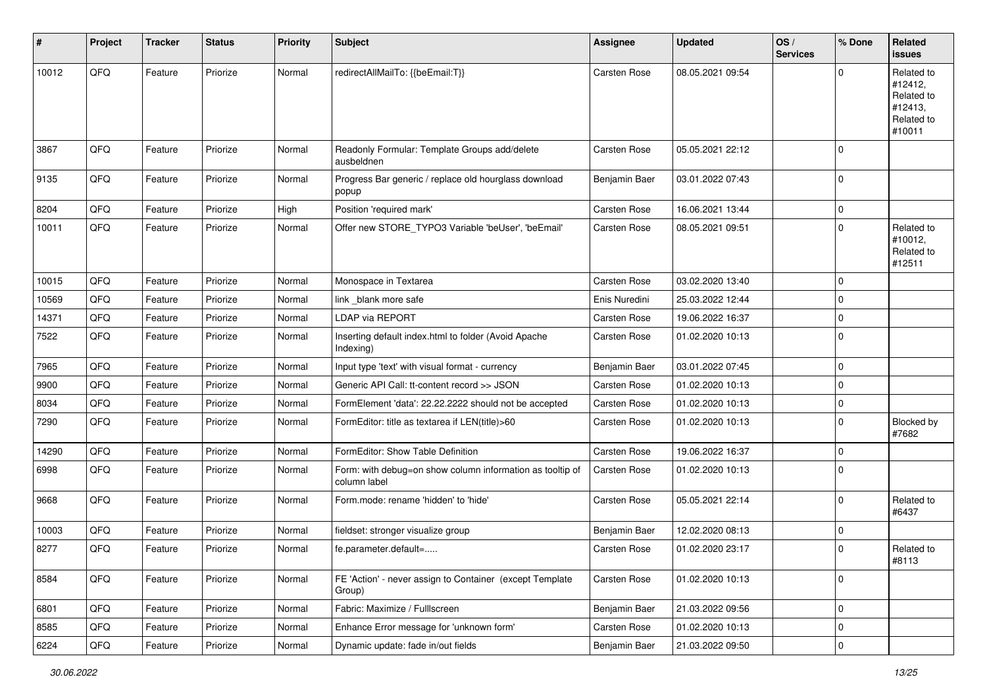| #     | Project | <b>Tracker</b> | <b>Status</b> | <b>Priority</b> | <b>Subject</b>                                                            | <b>Assignee</b>     | <b>Updated</b>   | OS/<br><b>Services</b> | % Done       | Related<br><b>issues</b>                                               |
|-------|---------|----------------|---------------|-----------------|---------------------------------------------------------------------------|---------------------|------------------|------------------------|--------------|------------------------------------------------------------------------|
| 10012 | QFQ     | Feature        | Priorize      | Normal          | redirectAllMailTo: {{beEmail:T}}                                          | Carsten Rose        | 08.05.2021 09:54 |                        | $\mathbf 0$  | Related to<br>#12412,<br>Related to<br>#12413,<br>Related to<br>#10011 |
| 3867  | QFQ     | Feature        | Priorize      | Normal          | Readonly Formular: Template Groups add/delete<br>ausbeldnen               | Carsten Rose        | 05.05.2021 22:12 |                        | $\mathbf{0}$ |                                                                        |
| 9135  | QFQ     | Feature        | Priorize      | Normal          | Progress Bar generic / replace old hourglass download<br>popup            | Benjamin Baer       | 03.01.2022 07:43 |                        | $\mathbf 0$  |                                                                        |
| 8204  | QFQ     | Feature        | Priorize      | High            | Position 'required mark'                                                  | <b>Carsten Rose</b> | 16.06.2021 13:44 |                        | $\mathbf 0$  |                                                                        |
| 10011 | QFQ     | Feature        | Priorize      | Normal          | Offer new STORE_TYPO3 Variable 'beUser', 'beEmail'                        | <b>Carsten Rose</b> | 08.05.2021 09:51 |                        | $\Omega$     | Related to<br>#10012,<br>Related to<br>#12511                          |
| 10015 | QFQ     | Feature        | Priorize      | Normal          | Monospace in Textarea                                                     | Carsten Rose        | 03.02.2020 13:40 |                        | 0            |                                                                        |
| 10569 | QFQ     | Feature        | Priorize      | Normal          | link _blank more safe                                                     | Enis Nuredini       | 25.03.2022 12:44 |                        | 0            |                                                                        |
| 14371 | QFQ     | Feature        | Priorize      | Normal          | LDAP via REPORT                                                           | <b>Carsten Rose</b> | 19.06.2022 16:37 |                        | 0            |                                                                        |
| 7522  | QFQ     | Feature        | Priorize      | Normal          | Inserting default index.html to folder (Avoid Apache<br>Indexing)         | Carsten Rose        | 01.02.2020 10:13 |                        | 0            |                                                                        |
| 7965  | QFQ     | Feature        | Priorize      | Normal          | Input type 'text' with visual format - currency                           | Benjamin Baer       | 03.01.2022 07:45 |                        | $\mathbf 0$  |                                                                        |
| 9900  | QFQ     | Feature        | Priorize      | Normal          | Generic API Call: tt-content record >> JSON                               | Carsten Rose        | 01.02.2020 10:13 |                        | $\mathbf 0$  |                                                                        |
| 8034  | QFQ     | Feature        | Priorize      | Normal          | FormElement 'data': 22.22.2222 should not be accepted                     | Carsten Rose        | 01.02.2020 10:13 |                        | $\mathbf 0$  |                                                                        |
| 7290  | QFQ     | Feature        | Priorize      | Normal          | FormEditor: title as textarea if LEN(title)>60                            | Carsten Rose        | 01.02.2020 10:13 |                        | $\mathbf 0$  | Blocked by<br>#7682                                                    |
| 14290 | QFQ     | Feature        | Priorize      | Normal          | FormEditor: Show Table Definition                                         | Carsten Rose        | 19.06.2022 16:37 |                        | $\mathbf{0}$ |                                                                        |
| 6998  | QFQ     | Feature        | Priorize      | Normal          | Form: with debug=on show column information as tooltip of<br>column label | Carsten Rose        | 01.02.2020 10:13 |                        | 0            |                                                                        |
| 9668  | QFQ     | Feature        | Priorize      | Normal          | Form.mode: rename 'hidden' to 'hide'                                      | <b>Carsten Rose</b> | 05.05.2021 22:14 |                        | $\mathbf 0$  | Related to<br>#6437                                                    |
| 10003 | QFQ     | Feature        | Priorize      | Normal          | fieldset: stronger visualize group                                        | Benjamin Baer       | 12.02.2020 08:13 |                        | 0            |                                                                        |
| 8277  | QFQ     | Feature        | Priorize      | Normal          | fe.parameter.default=                                                     | Carsten Rose        | 01.02.2020 23:17 |                        | 0            | Related to<br>#8113                                                    |
| 8584  | QFQ     | Feature        | Priorize      | Normal          | FE 'Action' - never assign to Container (except Template<br>Group)        | Carsten Rose        | 01.02.2020 10:13 |                        | $\mathbf 0$  |                                                                        |
| 6801  | QFQ     | Feature        | Priorize      | Normal          | Fabric: Maximize / FullIscreen                                            | Benjamin Baer       | 21.03.2022 09:56 |                        | $\mathbf 0$  |                                                                        |
| 8585  | QFQ     | Feature        | Priorize      | Normal          | Enhance Error message for 'unknown form'                                  | Carsten Rose        | 01.02.2020 10:13 |                        | $\mathbf 0$  |                                                                        |
| 6224  | QFG     | Feature        | Priorize      | Normal          | Dynamic update: fade in/out fields                                        | Benjamin Baer       | 21.03.2022 09:50 |                        | $\pmb{0}$    |                                                                        |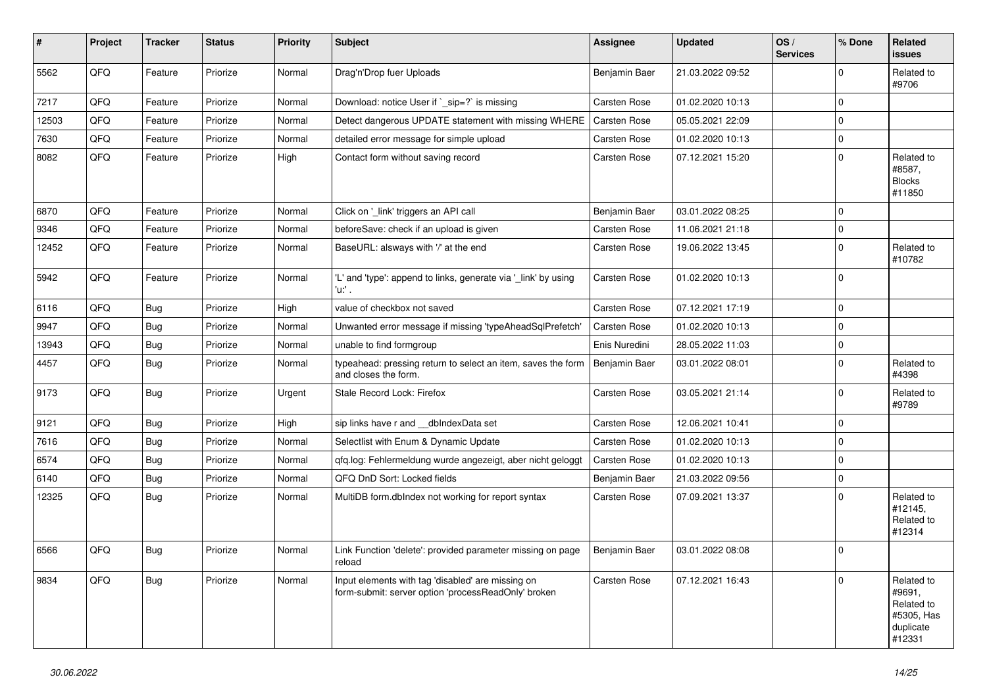| #     | Project | <b>Tracker</b> | <b>Status</b> | <b>Priority</b> | <b>Subject</b>                                                                                           | <b>Assignee</b>     | <b>Updated</b>   | OS/<br><b>Services</b> | % Done              | Related<br><b>issues</b>                                                |
|-------|---------|----------------|---------------|-----------------|----------------------------------------------------------------------------------------------------------|---------------------|------------------|------------------------|---------------------|-------------------------------------------------------------------------|
| 5562  | QFQ     | Feature        | Priorize      | Normal          | Drag'n'Drop fuer Uploads                                                                                 | Benjamin Baer       | 21.03.2022 09:52 |                        | $\Omega$            | Related to<br>#9706                                                     |
| 7217  | QFQ     | Feature        | Priorize      | Normal          | Download: notice User if `_sip=?` is missing                                                             | Carsten Rose        | 01.02.2020 10:13 |                        | $\mathbf 0$         |                                                                         |
| 12503 | QFQ     | Feature        | Priorize      | Normal          | Detect dangerous UPDATE statement with missing WHERE                                                     | <b>Carsten Rose</b> | 05.05.2021 22:09 |                        | $\mathbf{0}$        |                                                                         |
| 7630  | QFQ     | Feature        | Priorize      | Normal          | detailed error message for simple upload                                                                 | Carsten Rose        | 01.02.2020 10:13 |                        | $\mathsf{O}\xspace$ |                                                                         |
| 8082  | QFQ     | Feature        | Priorize      | High            | Contact form without saving record                                                                       | Carsten Rose        | 07.12.2021 15:20 |                        | $\mathbf 0$         | Related to<br>#8587,<br><b>Blocks</b><br>#11850                         |
| 6870  | QFQ     | Feature        | Priorize      | Normal          | Click on '_link' triggers an API call                                                                    | Benjamin Baer       | 03.01.2022 08:25 |                        | $\mathbf 0$         |                                                                         |
| 9346  | QFQ     | Feature        | Priorize      | Normal          | beforeSave: check if an upload is given                                                                  | Carsten Rose        | 11.06.2021 21:18 |                        | $\mathbf{0}$        |                                                                         |
| 12452 | QFQ     | Feature        | Priorize      | Normal          | BaseURL: alsways with '/' at the end                                                                     | <b>Carsten Rose</b> | 19.06.2022 13:45 |                        | $\mathbf{0}$        | Related to<br>#10782                                                    |
| 5942  | QFQ     | Feature        | Priorize      | Normal          | 'L' and 'type': append to links, generate via '_link' by using<br>'u:' .                                 | Carsten Rose        | 01.02.2020 10:13 |                        | $\mathbf{0}$        |                                                                         |
| 6116  | QFQ     | Bug            | Priorize      | High            | value of checkbox not saved                                                                              | Carsten Rose        | 07.12.2021 17:19 |                        | $\mathbf{0}$        |                                                                         |
| 9947  | QFQ     | Bug            | Priorize      | Normal          | Unwanted error message if missing 'typeAheadSqlPrefetch'                                                 | Carsten Rose        | 01.02.2020 10:13 |                        | $\mathbf{0}$        |                                                                         |
| 13943 | QFQ     | <b>Bug</b>     | Priorize      | Normal          | unable to find formgroup                                                                                 | Enis Nuredini       | 28.05.2022 11:03 |                        | $\pmb{0}$           |                                                                         |
| 4457  | QFQ     | <b>Bug</b>     | Priorize      | Normal          | typeahead: pressing return to select an item, saves the form<br>and closes the form.                     | Benjamin Baer       | 03.01.2022 08:01 |                        | $\mathsf{O}\xspace$ | Related to<br>#4398                                                     |
| 9173  | QFQ     | Bug            | Priorize      | Urgent          | Stale Record Lock: Firefox                                                                               | <b>Carsten Rose</b> | 03.05.2021 21:14 |                        | $\Omega$            | Related to<br>#9789                                                     |
| 9121  | QFQ     | Bug            | Priorize      | High            | sip links have r and __dbIndexData set                                                                   | <b>Carsten Rose</b> | 12.06.2021 10:41 |                        | $\mathbf{0}$        |                                                                         |
| 7616  | QFQ     | <b>Bug</b>     | Priorize      | Normal          | Selectlist with Enum & Dynamic Update                                                                    | <b>Carsten Rose</b> | 01.02.2020 10:13 |                        | $\mathbf{0}$        |                                                                         |
| 6574  | QFQ     | <b>Bug</b>     | Priorize      | Normal          | gfg.log: Fehlermeldung wurde angezeigt, aber nicht geloggt                                               | <b>Carsten Rose</b> | 01.02.2020 10:13 |                        | $\mathbf 0$         |                                                                         |
| 6140  | QFQ     | Bug            | Priorize      | Normal          | QFQ DnD Sort: Locked fields                                                                              | Benjamin Baer       | 21.03.2022 09:56 |                        | 0                   |                                                                         |
| 12325 | QFQ     | <b>Bug</b>     | Priorize      | Normal          | MultiDB form.dblndex not working for report syntax                                                       | Carsten Rose        | 07.09.2021 13:37 |                        | $\mathbf 0$         | Related to<br>#12145,<br>Related to<br>#12314                           |
| 6566  | QFQ     | Bug            | Priorize      | Normal          | Link Function 'delete': provided parameter missing on page<br>reload                                     | Benjamin Baer       | 03.01.2022 08:08 |                        | $\Omega$            |                                                                         |
| 9834  | QFQ     | <b>Bug</b>     | Priorize      | Normal          | Input elements with tag 'disabled' are missing on<br>form-submit: server option 'processReadOnly' broken | Carsten Rose        | 07.12.2021 16:43 |                        | $\Omega$            | Related to<br>#9691,<br>Related to<br>#5305, Has<br>duplicate<br>#12331 |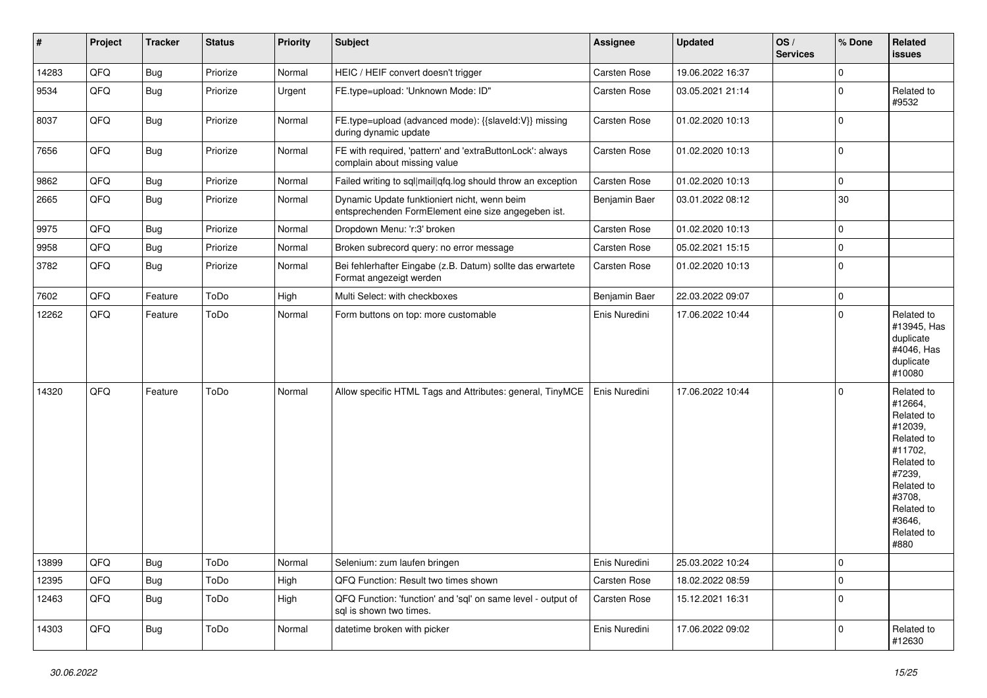| $\vert$ # | Project | <b>Tracker</b> | <b>Status</b> | <b>Priority</b> | <b>Subject</b>                                                                                      | Assignee            | <b>Updated</b>   | OS/<br><b>Services</b> | % Done      | Related<br><b>issues</b>                                                                                                                                              |
|-----------|---------|----------------|---------------|-----------------|-----------------------------------------------------------------------------------------------------|---------------------|------------------|------------------------|-------------|-----------------------------------------------------------------------------------------------------------------------------------------------------------------------|
| 14283     | QFQ     | <b>Bug</b>     | Priorize      | Normal          | HEIC / HEIF convert doesn't trigger                                                                 | Carsten Rose        | 19.06.2022 16:37 |                        | $\mathbf 0$ |                                                                                                                                                                       |
| 9534      | QFQ     | Bug            | Priorize      | Urgent          | FE.type=upload: 'Unknown Mode: ID"                                                                  | <b>Carsten Rose</b> | 03.05.2021 21:14 |                        | 0           | Related to<br>#9532                                                                                                                                                   |
| 8037      | QFQ     | <b>Bug</b>     | Priorize      | Normal          | FE.type=upload (advanced mode): {{slaveId:V}} missing<br>during dynamic update                      | Carsten Rose        | 01.02.2020 10:13 |                        | $\mathbf 0$ |                                                                                                                                                                       |
| 7656      | QFQ     | Bug            | Priorize      | Normal          | FE with required, 'pattern' and 'extraButtonLock': always<br>complain about missing value           | <b>Carsten Rose</b> | 01.02.2020 10:13 |                        | $\mathbf 0$ |                                                                                                                                                                       |
| 9862      | QFQ     | Bug            | Priorize      | Normal          | Failed writing to sql mail qfq.log should throw an exception                                        | Carsten Rose        | 01.02.2020 10:13 |                        | 0           |                                                                                                                                                                       |
| 2665      | QFQ     | <b>Bug</b>     | Priorize      | Normal          | Dynamic Update funktioniert nicht, wenn beim<br>entsprechenden FormElement eine size angegeben ist. | Benjamin Baer       | 03.01.2022 08:12 |                        | 30          |                                                                                                                                                                       |
| 9975      | QFQ     | <b>Bug</b>     | Priorize      | Normal          | Dropdown Menu: 'r:3' broken                                                                         | Carsten Rose        | 01.02.2020 10:13 |                        | $\pmb{0}$   |                                                                                                                                                                       |
| 9958      | QFQ     | Bug            | Priorize      | Normal          | Broken subrecord query: no error message                                                            | Carsten Rose        | 05.02.2021 15:15 |                        | $\pmb{0}$   |                                                                                                                                                                       |
| 3782      | QFQ     | Bug            | Priorize      | Normal          | Bei fehlerhafter Eingabe (z.B. Datum) sollte das erwartete<br>Format angezeigt werden               | Carsten Rose        | 01.02.2020 10:13 |                        | 0           |                                                                                                                                                                       |
| 7602      | QFQ     | Feature        | ToDo          | High            | Multi Select: with checkboxes                                                                       | Benjamin Baer       | 22.03.2022 09:07 |                        | $\pmb{0}$   |                                                                                                                                                                       |
| 12262     | QFQ     | Feature        | ToDo          | Normal          | Form buttons on top: more customable                                                                | Enis Nuredini       | 17.06.2022 10:44 |                        | $\Omega$    | Related to<br>#13945, Has<br>duplicate<br>#4046, Has<br>duplicate<br>#10080                                                                                           |
| 14320     | QFQ     | Feature        | ToDo          | Normal          | Allow specific HTML Tags and Attributes: general, TinyMCE                                           | Enis Nuredini       | 17.06.2022 10:44 |                        | $\mathbf 0$ | Related to<br>#12664,<br>Related to<br>#12039,<br>Related to<br>#11702,<br>Related to<br>#7239,<br>Related to<br>#3708,<br>Related to<br>#3646,<br>Related to<br>#880 |
| 13899     | QFQ     | <b>Bug</b>     | ToDo          | Normal          | Selenium: zum laufen bringen                                                                        | Enis Nuredini       | 25.03.2022 10:24 |                        | $\mathbf 0$ |                                                                                                                                                                       |
| 12395     | QFQ     | <b>Bug</b>     | ToDo          | High            | QFQ Function: Result two times shown                                                                | <b>Carsten Rose</b> | 18.02.2022 08:59 |                        | $\mathbf 0$ |                                                                                                                                                                       |
| 12463     | QFQ     | <b>Bug</b>     | ToDo          | High            | QFQ Function: 'function' and 'sql' on same level - output of<br>sal is shown two times.             | Carsten Rose        | 15.12.2021 16:31 |                        | $\mathbf 0$ |                                                                                                                                                                       |
| 14303     | QFQ     | <b>Bug</b>     | ToDo          | Normal          | datetime broken with picker                                                                         | Enis Nuredini       | 17.06.2022 09:02 |                        | $\mathbf 0$ | Related to<br>#12630                                                                                                                                                  |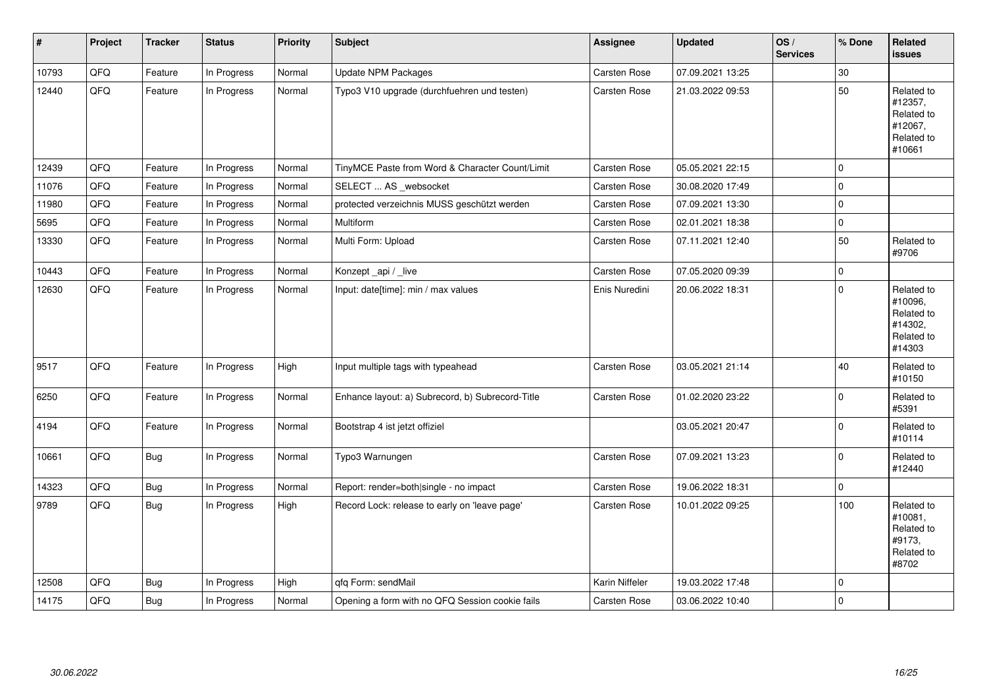| #     | Project | <b>Tracker</b> | <b>Status</b> | <b>Priority</b> | <b>Subject</b>                                   | <b>Assignee</b>     | <b>Updated</b>   | OS/<br><b>Services</b> | % Done      | Related<br>issues                                                      |
|-------|---------|----------------|---------------|-----------------|--------------------------------------------------|---------------------|------------------|------------------------|-------------|------------------------------------------------------------------------|
| 10793 | QFQ     | Feature        | In Progress   | Normal          | <b>Update NPM Packages</b>                       | Carsten Rose        | 07.09.2021 13:25 |                        | 30          |                                                                        |
| 12440 | QFQ     | Feature        | In Progress   | Normal          | Typo3 V10 upgrade (durchfuehren und testen)      | <b>Carsten Rose</b> | 21.03.2022 09:53 |                        | 50          | Related to<br>#12357,<br>Related to<br>#12067,<br>Related to<br>#10661 |
| 12439 | QFQ     | Feature        | In Progress   | Normal          | TinyMCE Paste from Word & Character Count/Limit  | <b>Carsten Rose</b> | 05.05.2021 22:15 |                        | 0           |                                                                        |
| 11076 | QFQ     | Feature        | In Progress   | Normal          | SELECT  AS _websocket                            | <b>Carsten Rose</b> | 30.08.2020 17:49 |                        | $\mathbf 0$ |                                                                        |
| 11980 | QFQ     | Feature        | In Progress   | Normal          | protected verzeichnis MUSS geschützt werden      | <b>Carsten Rose</b> | 07.09.2021 13:30 |                        | $\pmb{0}$   |                                                                        |
| 5695  | QFQ     | Feature        | In Progress   | Normal          | Multiform                                        | <b>Carsten Rose</b> | 02.01.2021 18:38 |                        | 0           |                                                                        |
| 13330 | QFQ     | Feature        | In Progress   | Normal          | Multi Form: Upload                               | Carsten Rose        | 07.11.2021 12:40 |                        | 50          | Related to<br>#9706                                                    |
| 10443 | QFQ     | Feature        | In Progress   | Normal          | Konzept_api / _live                              | Carsten Rose        | 07.05.2020 09:39 |                        | $\pmb{0}$   |                                                                        |
| 12630 | QFQ     | Feature        | In Progress   | Normal          | Input: date[time]: min / max values              | Enis Nuredini       | 20.06.2022 18:31 |                        | $\mathbf 0$ | Related to<br>#10096,<br>Related to<br>#14302,<br>Related to<br>#14303 |
| 9517  | QFQ     | Feature        | In Progress   | High            | Input multiple tags with typeahead               | <b>Carsten Rose</b> | 03.05.2021 21:14 |                        | 40          | Related to<br>#10150                                                   |
| 6250  | QFQ     | Feature        | In Progress   | Normal          | Enhance layout: a) Subrecord, b) Subrecord-Title | Carsten Rose        | 01.02.2020 23:22 |                        | 0           | Related to<br>#5391                                                    |
| 4194  | QFQ     | Feature        | In Progress   | Normal          | Bootstrap 4 ist jetzt offiziel                   |                     | 03.05.2021 20:47 |                        | $\mathbf 0$ | Related to<br>#10114                                                   |
| 10661 | QFQ     | Bug            | In Progress   | Normal          | Typo3 Warnungen                                  | Carsten Rose        | 07.09.2021 13:23 |                        | 0           | Related to<br>#12440                                                   |
| 14323 | QFQ     | <b>Bug</b>     | In Progress   | Normal          | Report: render=both single - no impact           | Carsten Rose        | 19.06.2022 18:31 |                        | $\mathbf 0$ |                                                                        |
| 9789  | QFQ     | Bug            | In Progress   | High            | Record Lock: release to early on 'leave page'    | <b>Carsten Rose</b> | 10.01.2022 09:25 |                        | 100         | Related to<br>#10081,<br>Related to<br>#9173,<br>Related to<br>#8702   |
| 12508 | QFQ     | <b>Bug</b>     | In Progress   | High            | qfq Form: sendMail                               | Karin Niffeler      | 19.03.2022 17:48 |                        | 0           |                                                                        |
| 14175 | QFQ     | <b>Bug</b>     | In Progress   | Normal          | Opening a form with no QFQ Session cookie fails  | <b>Carsten Rose</b> | 03.06.2022 10:40 |                        | $\mathbf 0$ |                                                                        |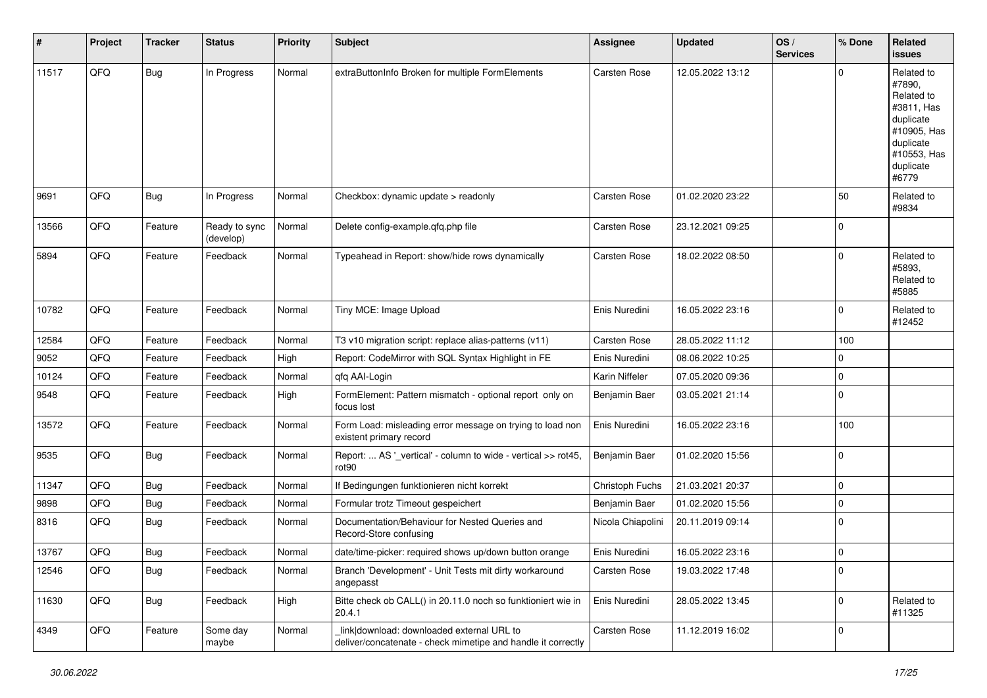| #     | Project | <b>Tracker</b> | <b>Status</b>              | <b>Priority</b> | <b>Subject</b>                                                                                            | <b>Assignee</b>     | <b>Updated</b>   | OS/<br><b>Services</b> | % Done      | Related<br><b>issues</b>                                                                                                       |
|-------|---------|----------------|----------------------------|-----------------|-----------------------------------------------------------------------------------------------------------|---------------------|------------------|------------------------|-------------|--------------------------------------------------------------------------------------------------------------------------------|
| 11517 | QFQ     | <b>Bug</b>     | In Progress                | Normal          | extraButtonInfo Broken for multiple FormElements                                                          | Carsten Rose        | 12.05.2022 13:12 |                        | $\Omega$    | Related to<br>#7890.<br>Related to<br>#3811, Has<br>duplicate<br>#10905, Has<br>duplicate<br>#10553, Has<br>duplicate<br>#6779 |
| 9691  | QFQ     | Bug            | In Progress                | Normal          | Checkbox: dynamic update > readonly                                                                       | Carsten Rose        | 01.02.2020 23:22 |                        | 50          | Related to<br>#9834                                                                                                            |
| 13566 | QFQ     | Feature        | Ready to sync<br>(develop) | Normal          | Delete config-example.qfq.php file                                                                        | Carsten Rose        | 23.12.2021 09:25 |                        | $\mathbf 0$ |                                                                                                                                |
| 5894  | QFQ     | Feature        | Feedback                   | Normal          | Typeahead in Report: show/hide rows dynamically                                                           | Carsten Rose        | 18.02.2022 08:50 |                        | $\mathbf 0$ | Related to<br>#5893.<br>Related to<br>#5885                                                                                    |
| 10782 | QFQ     | Feature        | Feedback                   | Normal          | Tiny MCE: Image Upload                                                                                    | Enis Nuredini       | 16.05.2022 23:16 |                        | 0           | Related to<br>#12452                                                                                                           |
| 12584 | QFQ     | Feature        | Feedback                   | Normal          | T3 v10 migration script: replace alias-patterns (v11)                                                     | <b>Carsten Rose</b> | 28.05.2022 11:12 |                        | 100         |                                                                                                                                |
| 9052  | QFQ     | Feature        | Feedback                   | High            | Report: CodeMirror with SQL Syntax Highlight in FE                                                        | Enis Nuredini       | 08.06.2022 10:25 |                        | 0           |                                                                                                                                |
| 10124 | QFQ     | Feature        | Feedback                   | Normal          | gfg AAI-Login                                                                                             | Karin Niffeler      | 07.05.2020 09:36 |                        | 0           |                                                                                                                                |
| 9548  | QFQ     | Feature        | Feedback                   | High            | FormElement: Pattern mismatch - optional report only on<br>focus lost                                     | Benjamin Baer       | 03.05.2021 21:14 |                        | $\mathbf 0$ |                                                                                                                                |
| 13572 | QFQ     | Feature        | Feedback                   | Normal          | Form Load: misleading error message on trying to load non<br>existent primary record                      | Enis Nuredini       | 16.05.2022 23:16 |                        | 100         |                                                                                                                                |
| 9535  | QFQ     | <b>Bug</b>     | Feedback                   | Normal          | Report:  AS '_vertical' - column to wide - vertical >> rot45,<br>rot90                                    | Benjamin Baer       | 01.02.2020 15:56 |                        | $\mathbf 0$ |                                                                                                                                |
| 11347 | QFQ     | <b>Bug</b>     | Feedback                   | Normal          | If Bedingungen funktionieren nicht korrekt                                                                | Christoph Fuchs     | 21.03.2021 20:37 |                        | 0           |                                                                                                                                |
| 9898  | QFQ     | <b>Bug</b>     | Feedback                   | Normal          | Formular trotz Timeout gespeichert                                                                        | Benjamin Baer       | 01.02.2020 15:56 |                        | 0           |                                                                                                                                |
| 8316  | QFQ     | <b>Bug</b>     | Feedback                   | Normal          | Documentation/Behaviour for Nested Queries and<br>Record-Store confusing                                  | Nicola Chiapolini   | 20.11.2019 09:14 |                        | $\Omega$    |                                                                                                                                |
| 13767 | QFQ     | Bug            | Feedback                   | Normal          | date/time-picker: required shows up/down button orange                                                    | Enis Nuredini       | 16.05.2022 23:16 |                        | $\mathbf 0$ |                                                                                                                                |
| 12546 | QFQ     | <b>Bug</b>     | Feedback                   | Normal          | Branch 'Development' - Unit Tests mit dirty workaround<br>angepasst                                       | Carsten Rose        | 19.03.2022 17:48 |                        | $\mathbf 0$ |                                                                                                                                |
| 11630 | QFQ     | Bug            | Feedback                   | High            | Bitte check ob CALL() in 20.11.0 noch so funktioniert wie in<br>20.4.1                                    | Enis Nuredini       | 28.05.2022 13:45 |                        | $\pmb{0}$   | Related to<br>#11325                                                                                                           |
| 4349  | QFQ     | Feature        | Some day<br>maybe          | Normal          | link download: downloaded external URL to<br>deliver/concatenate - check mimetipe and handle it correctly | Carsten Rose        | 11.12.2019 16:02 |                        | $\mathbf 0$ |                                                                                                                                |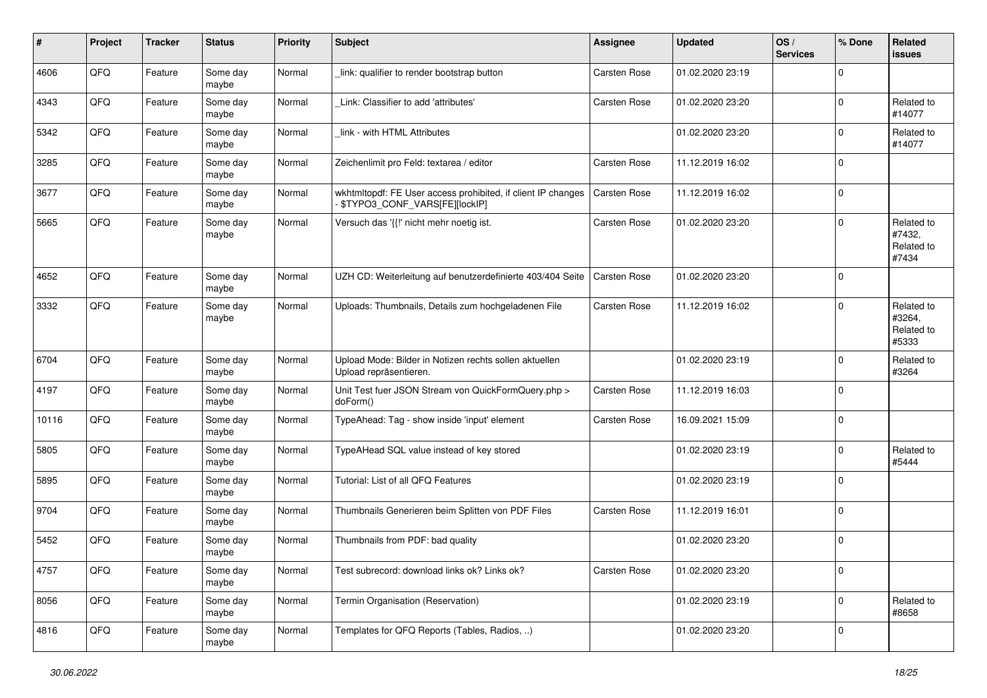| #     | Project | <b>Tracker</b> | <b>Status</b>     | <b>Priority</b> | <b>Subject</b>                                                                                | <b>Assignee</b>     | <b>Updated</b>   | OS/<br><b>Services</b> | % Done         | <b>Related</b><br><b>issues</b>             |
|-------|---------|----------------|-------------------|-----------------|-----------------------------------------------------------------------------------------------|---------------------|------------------|------------------------|----------------|---------------------------------------------|
| 4606  | QFQ     | Feature        | Some day<br>maybe | Normal          | link: qualifier to render bootstrap button                                                    | <b>Carsten Rose</b> | 01.02.2020 23:19 |                        | $\mathbf 0$    |                                             |
| 4343  | QFQ     | Feature        | Some day<br>maybe | Normal          | Link: Classifier to add 'attributes'                                                          | <b>Carsten Rose</b> | 01.02.2020 23:20 |                        | $\mathbf 0$    | Related to<br>#14077                        |
| 5342  | QFQ     | Feature        | Some day<br>maybe | Normal          | link - with HTML Attributes                                                                   |                     | 01.02.2020 23:20 |                        | $\mathbf 0$    | Related to<br>#14077                        |
| 3285  | QFQ     | Feature        | Some day<br>maybe | Normal          | Zeichenlimit pro Feld: textarea / editor                                                      | Carsten Rose        | 11.12.2019 16:02 |                        | $\mathbf 0$    |                                             |
| 3677  | QFQ     | Feature        | Some day<br>maybe | Normal          | wkhtmltopdf: FE User access prohibited, if client IP changes<br>\$TYPO3 CONF VARS[FE][locklP] | Carsten Rose        | 11.12.2019 16:02 |                        | $\mathbf 0$    |                                             |
| 5665  | QFQ     | Feature        | Some day<br>maybe | Normal          | Versuch das '{{!' nicht mehr noetig ist.                                                      | <b>Carsten Rose</b> | 01.02.2020 23:20 |                        | $\mathbf 0$    | Related to<br>#7432,<br>Related to<br>#7434 |
| 4652  | QFQ     | Feature        | Some day<br>maybe | Normal          | UZH CD: Weiterleitung auf benutzerdefinierte 403/404 Seite                                    | Carsten Rose        | 01.02.2020 23:20 |                        | $\mathbf 0$    |                                             |
| 3332  | QFQ     | Feature        | Some day<br>maybe | Normal          | Uploads: Thumbnails, Details zum hochgeladenen File                                           | <b>Carsten Rose</b> | 11.12.2019 16:02 |                        | $\Omega$       | Related to<br>#3264,<br>Related to<br>#5333 |
| 6704  | QFQ     | Feature        | Some day<br>maybe | Normal          | Upload Mode: Bilder in Notizen rechts sollen aktuellen<br>Upload repräsentieren.              |                     | 01.02.2020 23:19 |                        | $\mathbf 0$    | Related to<br>#3264                         |
| 4197  | QFQ     | Feature        | Some day<br>maybe | Normal          | Unit Test fuer JSON Stream von QuickFormQuery.php ><br>doForm()                               | Carsten Rose        | 11.12.2019 16:03 |                        | $\mathbf 0$    |                                             |
| 10116 | QFQ     | Feature        | Some day<br>maybe | Normal          | TypeAhead: Tag - show inside 'input' element                                                  | Carsten Rose        | 16.09.2021 15:09 |                        | $\mathbf 0$    |                                             |
| 5805  | QFQ     | Feature        | Some day<br>maybe | Normal          | TypeAHead SQL value instead of key stored                                                     |                     | 01.02.2020 23:19 |                        | $\mathbf 0$    | Related to<br>#5444                         |
| 5895  | QFQ     | Feature        | Some day<br>maybe | Normal          | Tutorial: List of all QFQ Features                                                            |                     | 01.02.2020 23:19 |                        | $\mathbf 0$    |                                             |
| 9704  | QFQ     | Feature        | Some day<br>maybe | Normal          | Thumbnails Generieren beim Splitten von PDF Files                                             | <b>Carsten Rose</b> | 11.12.2019 16:01 |                        | $\mathbf 0$    |                                             |
| 5452  | QFQ     | Feature        | Some day<br>maybe | Normal          | Thumbnails from PDF: bad quality                                                              |                     | 01.02.2020 23:20 |                        | $\mathbf 0$    |                                             |
| 4757  | QFQ     | Feature        | Some day<br>maybe | Normal          | Test subrecord: download links ok? Links ok?                                                  | Carsten Rose        | 01.02.2020 23:20 |                        | $\overline{0}$ |                                             |
| 8056  | QFQ     | Feature        | Some day<br>maybe | Normal          | Termin Organisation (Reservation)                                                             |                     | 01.02.2020 23:19 |                        | $\mathbf 0$    | Related to<br>#8658                         |
| 4816  | QFQ     | Feature        | Some day<br>maybe | Normal          | Templates for QFQ Reports (Tables, Radios, )                                                  |                     | 01.02.2020 23:20 |                        | $\mathbf 0$    |                                             |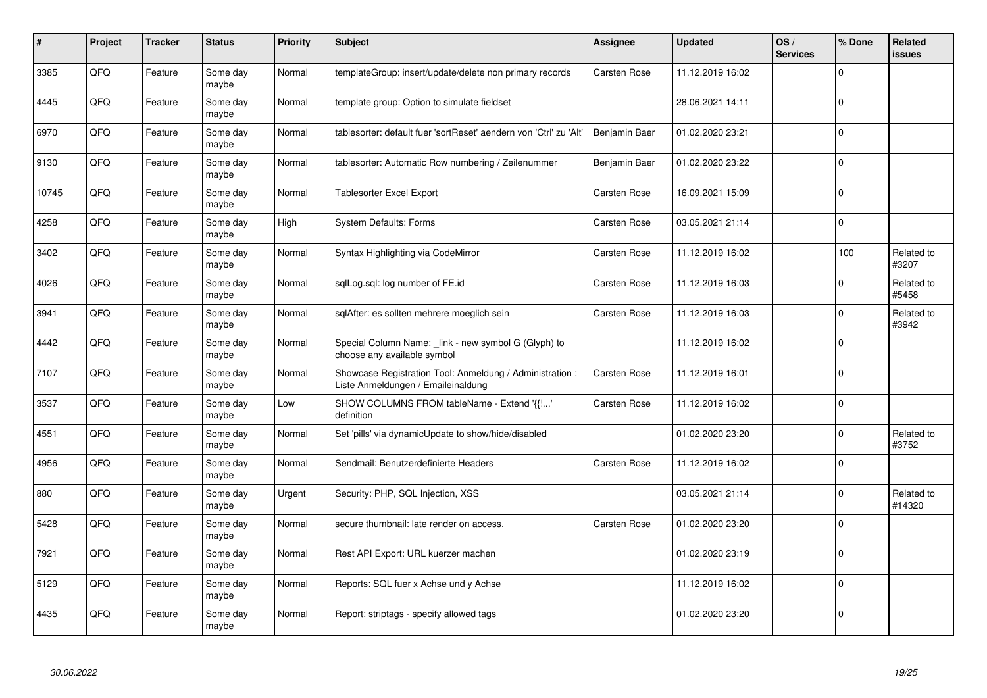| #     | Project | <b>Tracker</b> | <b>Status</b>     | <b>Priority</b> | <b>Subject</b>                                                                                 | Assignee            | <b>Updated</b>   | OS/<br><b>Services</b> | % Done       | Related<br><b>issues</b> |
|-------|---------|----------------|-------------------|-----------------|------------------------------------------------------------------------------------------------|---------------------|------------------|------------------------|--------------|--------------------------|
| 3385  | QFQ     | Feature        | Some day<br>maybe | Normal          | templateGroup: insert/update/delete non primary records                                        | Carsten Rose        | 11.12.2019 16:02 |                        | $\Omega$     |                          |
| 4445  | QFQ     | Feature        | Some dav<br>maybe | Normal          | template group: Option to simulate fieldset                                                    |                     | 28.06.2021 14:11 |                        | $\Omega$     |                          |
| 6970  | QFQ     | Feature        | Some day<br>maybe | Normal          | tablesorter: default fuer 'sortReset' aendern von 'Ctrl' zu 'Alt'                              | Benjamin Baer       | 01.02.2020 23:21 |                        | $\mathbf 0$  |                          |
| 9130  | QFQ     | Feature        | Some day<br>maybe | Normal          | tablesorter: Automatic Row numbering / Zeilenummer                                             | Benjamin Baer       | 01.02.2020 23:22 |                        | $\mathbf 0$  |                          |
| 10745 | QFQ     | Feature        | Some day<br>maybe | Normal          | Tablesorter Excel Export                                                                       | Carsten Rose        | 16.09.2021 15:09 |                        | $\mathbf 0$  |                          |
| 4258  | QFQ     | Feature        | Some dav<br>maybe | High            | System Defaults: Forms                                                                         | Carsten Rose        | 03.05.2021 21:14 |                        | $\mathbf{0}$ |                          |
| 3402  | QFQ     | Feature        | Some day<br>maybe | Normal          | Syntax Highlighting via CodeMirror                                                             | <b>Carsten Rose</b> | 11.12.2019 16:02 |                        | 100          | Related to<br>#3207      |
| 4026  | QFQ     | Feature        | Some day<br>maybe | Normal          | sglLog.sgl: log number of FE.id                                                                | Carsten Rose        | 11.12.2019 16:03 |                        | $\mathbf 0$  | Related to<br>#5458      |
| 3941  | QFQ     | Feature        | Some day<br>maybe | Normal          | sqlAfter: es sollten mehrere moeglich sein                                                     | Carsten Rose        | 11.12.2019 16:03 |                        | $\Omega$     | Related to<br>#3942      |
| 4442  | QFQ     | Feature        | Some day<br>maybe | Normal          | Special Column Name: _link - new symbol G (Glyph) to<br>choose any available symbol            |                     | 11.12.2019 16:02 |                        | $\mathbf 0$  |                          |
| 7107  | QFQ     | Feature        | Some day<br>maybe | Normal          | Showcase Registration Tool: Anmeldung / Administration :<br>Liste Anmeldungen / Emaileinaldung | Carsten Rose        | 11.12.2019 16:01 |                        | $\mathbf 0$  |                          |
| 3537  | QFQ     | Feature        | Some day<br>maybe | Low             | SHOW COLUMNS FROM tableName - Extend '{{!'<br>definition                                       | Carsten Rose        | 11.12.2019 16:02 |                        | $\mathbf 0$  |                          |
| 4551  | QFQ     | Feature        | Some day<br>maybe | Normal          | Set 'pills' via dynamicUpdate to show/hide/disabled                                            |                     | 01.02.2020 23:20 |                        | $\Omega$     | Related to<br>#3752      |
| 4956  | QFQ     | Feature        | Some day<br>maybe | Normal          | Sendmail: Benutzerdefinierte Headers                                                           | Carsten Rose        | 11.12.2019 16:02 |                        | $\mathbf 0$  |                          |
| 880   | QFQ     | Feature        | Some day<br>maybe | Urgent          | Security: PHP, SQL Injection, XSS                                                              |                     | 03.05.2021 21:14 |                        | $\Omega$     | Related to<br>#14320     |
| 5428  | QFQ     | Feature        | Some day<br>maybe | Normal          | secure thumbnail: late render on access.                                                       | <b>Carsten Rose</b> | 01.02.2020 23:20 |                        | $\mathbf 0$  |                          |
| 7921  | QFQ     | Feature        | Some day<br>maybe | Normal          | Rest API Export: URL kuerzer machen                                                            |                     | 01.02.2020 23:19 |                        | $\Omega$     |                          |
| 5129  | QFQ     | Feature        | Some day<br>maybe | Normal          | Reports: SQL fuer x Achse und y Achse                                                          |                     | 11.12.2019 16:02 |                        | $\mathbf 0$  |                          |
| 4435  | QFQ     | Feature        | Some day<br>maybe | Normal          | Report: striptags - specify allowed tags                                                       |                     | 01.02.2020 23:20 |                        | $\mathbf 0$  |                          |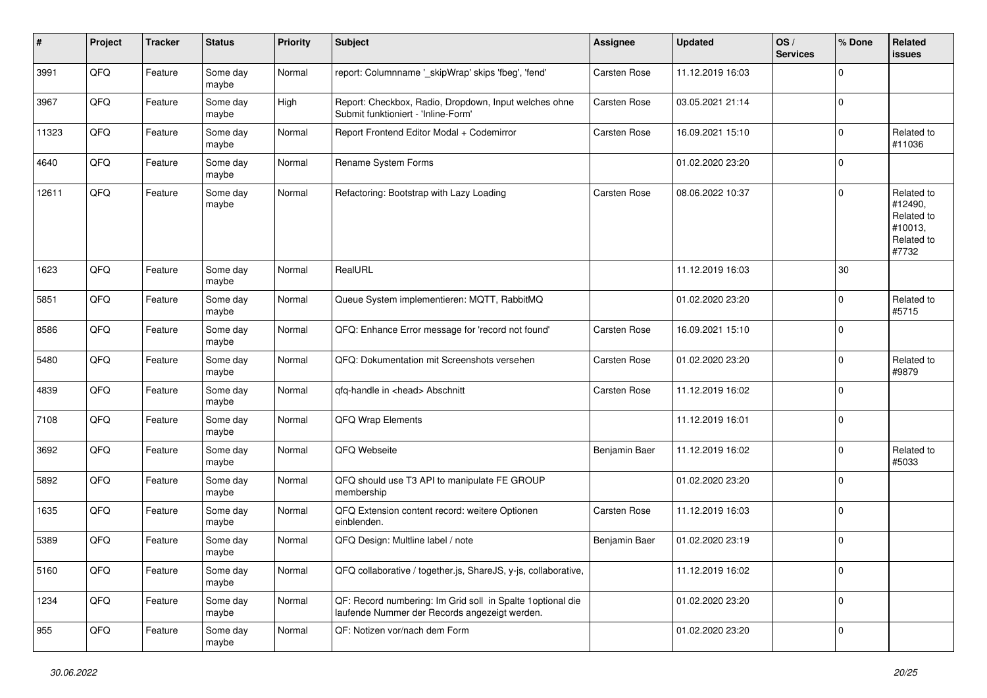| #     | Project | <b>Tracker</b> | <b>Status</b>     | <b>Priority</b> | <b>Subject</b>                                                                                              | <b>Assignee</b>     | <b>Updated</b>   | OS/<br><b>Services</b> | % Done      | Related<br><b>issues</b>                                              |
|-------|---------|----------------|-------------------|-----------------|-------------------------------------------------------------------------------------------------------------|---------------------|------------------|------------------------|-------------|-----------------------------------------------------------------------|
| 3991  | QFQ     | Feature        | Some day<br>maybe | Normal          | report: Columnname '_skipWrap' skips 'fbeg', 'fend'                                                         | Carsten Rose        | 11.12.2019 16:03 |                        | $\mathbf 0$ |                                                                       |
| 3967  | QFQ     | Feature        | Some day<br>maybe | High            | Report: Checkbox, Radio, Dropdown, Input welches ohne<br>Submit funktioniert - 'Inline-Form'                | Carsten Rose        | 03.05.2021 21:14 |                        | $\mathbf 0$ |                                                                       |
| 11323 | QFQ     | Feature        | Some day<br>maybe | Normal          | Report Frontend Editor Modal + Codemirror                                                                   | Carsten Rose        | 16.09.2021 15:10 |                        | $\mathbf 0$ | Related to<br>#11036                                                  |
| 4640  | QFQ     | Feature        | Some day<br>maybe | Normal          | Rename System Forms                                                                                         |                     | 01.02.2020 23:20 |                        | $\mathbf 0$ |                                                                       |
| 12611 | QFQ     | Feature        | Some day<br>maybe | Normal          | Refactoring: Bootstrap with Lazy Loading                                                                    | <b>Carsten Rose</b> | 08.06.2022 10:37 |                        | $\mathbf 0$ | Related to<br>#12490,<br>Related to<br>#10013,<br>Related to<br>#7732 |
| 1623  | QFQ     | Feature        | Some day<br>maybe | Normal          | RealURL                                                                                                     |                     | 11.12.2019 16:03 |                        | 30          |                                                                       |
| 5851  | QFQ     | Feature        | Some day<br>maybe | Normal          | Queue System implementieren: MQTT, RabbitMQ                                                                 |                     | 01.02.2020 23:20 |                        | $\mathbf 0$ | Related to<br>#5715                                                   |
| 8586  | QFQ     | Feature        | Some day<br>maybe | Normal          | QFQ: Enhance Error message for 'record not found'                                                           | Carsten Rose        | 16.09.2021 15:10 |                        | $\mathbf 0$ |                                                                       |
| 5480  | QFQ     | Feature        | Some day<br>maybe | Normal          | QFQ: Dokumentation mit Screenshots versehen                                                                 | <b>Carsten Rose</b> | 01.02.2020 23:20 |                        | $\mathbf 0$ | Related to<br>#9879                                                   |
| 4839  | QFQ     | Feature        | Some day<br>maybe | Normal          | qfq-handle in <head> Abschnitt</head>                                                                       | Carsten Rose        | 11.12.2019 16:02 |                        | $\mathbf 0$ |                                                                       |
| 7108  | QFQ     | Feature        | Some day<br>maybe | Normal          | QFQ Wrap Elements                                                                                           |                     | 11.12.2019 16:01 |                        | $\mathbf 0$ |                                                                       |
| 3692  | QFQ     | Feature        | Some day<br>maybe | Normal          | QFQ Webseite                                                                                                | Benjamin Baer       | 11.12.2019 16:02 |                        | 0           | Related to<br>#5033                                                   |
| 5892  | QFQ     | Feature        | Some day<br>maybe | Normal          | QFQ should use T3 API to manipulate FE GROUP<br>membership                                                  |                     | 01.02.2020 23:20 |                        | $\mathbf 0$ |                                                                       |
| 1635  | QFQ     | Feature        | Some day<br>maybe | Normal          | QFQ Extension content record: weitere Optionen<br>einblenden.                                               | Carsten Rose        | 11.12.2019 16:03 |                        | $\mathbf 0$ |                                                                       |
| 5389  | QFQ     | Feature        | Some day<br>maybe | Normal          | QFQ Design: Multline label / note                                                                           | Benjamin Baer       | 01.02.2020 23:19 |                        | 0           |                                                                       |
| 5160  | QFG     | Feature        | Some day<br>maybe | Normal          | QFQ collaborative / together.js, ShareJS, y-js, collaborative,                                              |                     | 11.12.2019 16:02 |                        | $\mathbf 0$ |                                                                       |
| 1234  | QFQ     | Feature        | Some day<br>maybe | Normal          | QF: Record numbering: Im Grid soll in Spalte 1optional die<br>laufende Nummer der Records angezeigt werden. |                     | 01.02.2020 23:20 |                        | $\pmb{0}$   |                                                                       |
| 955   | QFG     | Feature        | Some day<br>maybe | Normal          | QF: Notizen vor/nach dem Form                                                                               |                     | 01.02.2020 23:20 |                        | $\mathbf 0$ |                                                                       |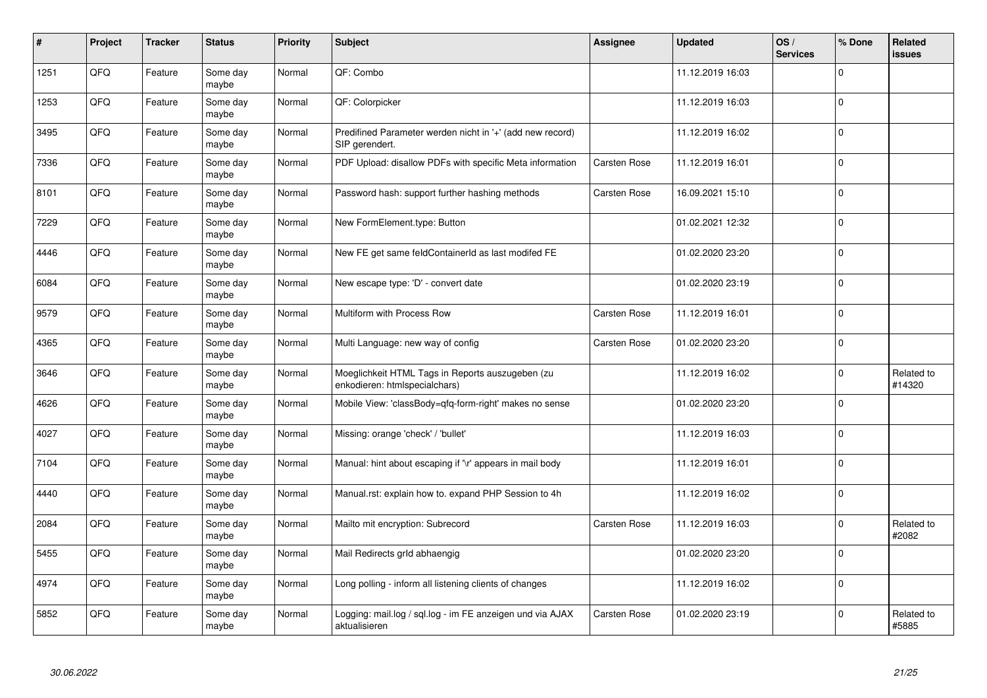| #    | Project | <b>Tracker</b> | <b>Status</b>     | <b>Priority</b> | <b>Subject</b>                                                                    | Assignee            | <b>Updated</b>   | OS/<br><b>Services</b> | % Done       | Related<br><b>issues</b> |
|------|---------|----------------|-------------------|-----------------|-----------------------------------------------------------------------------------|---------------------|------------------|------------------------|--------------|--------------------------|
| 1251 | QFQ     | Feature        | Some day<br>maybe | Normal          | QF: Combo                                                                         |                     | 11.12.2019 16:03 |                        | $\Omega$     |                          |
| 1253 | QFQ     | Feature        | Some day<br>maybe | Normal          | QF: Colorpicker                                                                   |                     | 11.12.2019 16:03 |                        | $\mathbf 0$  |                          |
| 3495 | QFQ     | Feature        | Some day<br>maybe | Normal          | Predifined Parameter werden nicht in '+' (add new record)<br>SIP gerendert.       |                     | 11.12.2019 16:02 |                        | $\mathbf 0$  |                          |
| 7336 | QFQ     | Feature        | Some day<br>maybe | Normal          | PDF Upload: disallow PDFs with specific Meta information                          | Carsten Rose        | 11.12.2019 16:01 |                        | $\Omega$     |                          |
| 8101 | QFQ     | Feature        | Some day<br>maybe | Normal          | Password hash: support further hashing methods                                    | Carsten Rose        | 16.09.2021 15:10 |                        | $\mathbf 0$  |                          |
| 7229 | QFQ     | Feature        | Some day<br>maybe | Normal          | New FormElement.type: Button                                                      |                     | 01.02.2021 12:32 |                        | $\mathbf{0}$ |                          |
| 4446 | QFQ     | Feature        | Some day<br>maybe | Normal          | New FE get same feldContainerId as last modifed FE                                |                     | 01.02.2020 23:20 |                        | $\Omega$     |                          |
| 6084 | QFQ     | Feature        | Some day<br>maybe | Normal          | New escape type: 'D' - convert date                                               |                     | 01.02.2020 23:19 |                        | $\mathbf 0$  |                          |
| 9579 | QFQ     | Feature        | Some day<br>maybe | Normal          | Multiform with Process Row                                                        | Carsten Rose        | 11.12.2019 16:01 |                        | $\pmb{0}$    |                          |
| 4365 | QFQ     | Feature        | Some day<br>maybe | Normal          | Multi Language: new way of config                                                 | Carsten Rose        | 01.02.2020 23:20 |                        | $\pmb{0}$    |                          |
| 3646 | QFQ     | Feature        | Some day<br>maybe | Normal          | Moeglichkeit HTML Tags in Reports auszugeben (zu<br>enkodieren: htmlspecialchars) |                     | 11.12.2019 16:02 |                        | $\Omega$     | Related to<br>#14320     |
| 4626 | QFQ     | Feature        | Some day<br>maybe | Normal          | Mobile View: 'classBody=qfq-form-right' makes no sense                            |                     | 01.02.2020 23:20 |                        | $\mathbf 0$  |                          |
| 4027 | QFQ     | Feature        | Some day<br>maybe | Normal          | Missing: orange 'check' / 'bullet'                                                |                     | 11.12.2019 16:03 |                        | $\mathbf 0$  |                          |
| 7104 | QFQ     | Feature        | Some day<br>maybe | Normal          | Manual: hint about escaping if '\r' appears in mail body                          |                     | 11.12.2019 16:01 |                        | $\Omega$     |                          |
| 4440 | QFQ     | Feature        | Some day<br>maybe | Normal          | Manual.rst: explain how to. expand PHP Session to 4h                              |                     | 11.12.2019 16:02 |                        | $\mathbf 0$  |                          |
| 2084 | QFQ     | Feature        | Some day<br>maybe | Normal          | Mailto mit encryption: Subrecord                                                  | <b>Carsten Rose</b> | 11.12.2019 16:03 |                        | $\mathbf 0$  | Related to<br>#2082      |
| 5455 | QFQ     | Feature        | Some day<br>maybe | Normal          | Mail Redirects grld abhaengig                                                     |                     | 01.02.2020 23:20 |                        | $\Omega$     |                          |
| 4974 | QFQ     | Feature        | Some day<br>maybe | Normal          | Long polling - inform all listening clients of changes                            |                     | 11.12.2019 16:02 |                        | $\mathbf 0$  |                          |
| 5852 | QFQ     | Feature        | Some day<br>maybe | Normal          | Logging: mail.log / sql.log - im FE anzeigen und via AJAX<br>aktualisieren        | Carsten Rose        | 01.02.2020 23:19 |                        | $\mathbf 0$  | Related to<br>#5885      |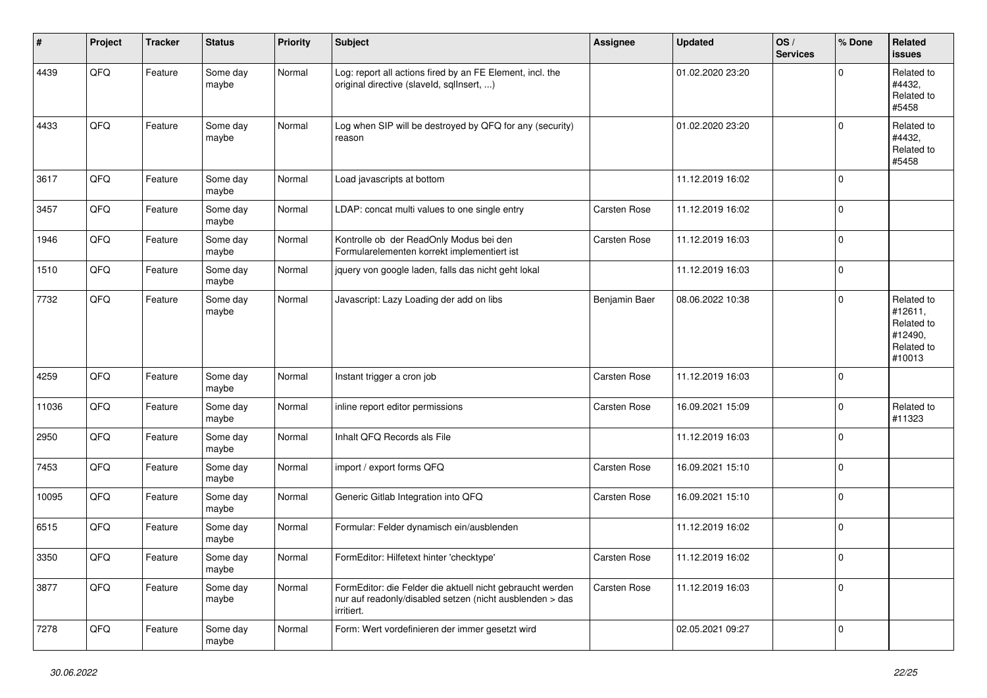| ∦     | Project | <b>Tracker</b> | <b>Status</b>     | <b>Priority</b> | <b>Subject</b>                                                                                                                      | <b>Assignee</b> | Updated          | OS/<br><b>Services</b> | % Done         | Related<br>issues                                                      |
|-------|---------|----------------|-------------------|-----------------|-------------------------------------------------------------------------------------------------------------------------------------|-----------------|------------------|------------------------|----------------|------------------------------------------------------------------------|
| 4439  | QFQ     | Feature        | Some day<br>maybe | Normal          | Log: report all actions fired by an FE Element, incl. the<br>original directive (slaveld, sqllnsert, )                              |                 | 01.02.2020 23:20 |                        | $\Omega$       | Related to<br>#4432,<br>Related to<br>#5458                            |
| 4433  | QFQ     | Feature        | Some day<br>maybe | Normal          | Log when SIP will be destroyed by QFQ for any (security)<br>reason                                                                  |                 | 01.02.2020 23:20 |                        | $\Omega$       | Related to<br>#4432,<br>Related to<br>#5458                            |
| 3617  | QFQ     | Feature        | Some day<br>maybe | Normal          | Load javascripts at bottom                                                                                                          |                 | 11.12.2019 16:02 |                        | $\mathbf 0$    |                                                                        |
| 3457  | QFQ     | Feature        | Some day<br>maybe | Normal          | LDAP: concat multi values to one single entry                                                                                       | Carsten Rose    | 11.12.2019 16:02 |                        | $\mathbf 0$    |                                                                        |
| 1946  | QFQ     | Feature        | Some day<br>maybe | Normal          | Kontrolle ob der ReadOnly Modus bei den<br>Formularelementen korrekt implementiert ist                                              | Carsten Rose    | 11.12.2019 16:03 |                        | $\mathbf 0$    |                                                                        |
| 1510  | QFQ     | Feature        | Some day<br>maybe | Normal          | jquery von google laden, falls das nicht geht lokal                                                                                 |                 | 11.12.2019 16:03 |                        | $\mathbf 0$    |                                                                        |
| 7732  | QFQ     | Feature        | Some day<br>maybe | Normal          | Javascript: Lazy Loading der add on libs                                                                                            | Benjamin Baer   | 08.06.2022 10:38 |                        | $\mathbf 0$    | Related to<br>#12611,<br>Related to<br>#12490,<br>Related to<br>#10013 |
| 4259  | QFQ     | Feature        | Some day<br>maybe | Normal          | Instant trigger a cron job                                                                                                          | Carsten Rose    | 11.12.2019 16:03 |                        | $\mathbf 0$    |                                                                        |
| 11036 | QFQ     | Feature        | Some day<br>maybe | Normal          | inline report editor permissions                                                                                                    | Carsten Rose    | 16.09.2021 15:09 |                        | $\mathbf 0$    | Related to<br>#11323                                                   |
| 2950  | QFQ     | Feature        | Some day<br>maybe | Normal          | Inhalt QFQ Records als File                                                                                                         |                 | 11.12.2019 16:03 |                        | $\mathbf 0$    |                                                                        |
| 7453  | QFQ     | Feature        | Some day<br>maybe | Normal          | import / export forms QFQ                                                                                                           | Carsten Rose    | 16.09.2021 15:10 |                        | $\mathbf 0$    |                                                                        |
| 10095 | QFQ     | Feature        | Some day<br>maybe | Normal          | Generic Gitlab Integration into QFQ                                                                                                 | Carsten Rose    | 16.09.2021 15:10 |                        | $\mathbf 0$    |                                                                        |
| 6515  | QFQ     | Feature        | Some day<br>maybe | Normal          | Formular: Felder dynamisch ein/ausblenden                                                                                           |                 | 11.12.2019 16:02 |                        | $\mathbf 0$    |                                                                        |
| 3350  | QFQ     | Feature        | Some day<br>maybe | Normal          | FormEditor: Hilfetext hinter 'checktype'                                                                                            | Carsten Rose    | 11.12.2019 16:02 |                        | $\overline{0}$ |                                                                        |
| 3877  | QFG     | Feature        | Some day<br>maybe | Normal          | FormEditor: die Felder die aktuell nicht gebraucht werden<br>nur auf readonly/disabled setzen (nicht ausblenden > das<br>irritiert. | Carsten Rose    | 11.12.2019 16:03 |                        | $\mathbf 0$    |                                                                        |
| 7278  | QFG     | Feature        | Some day<br>maybe | Normal          | Form: Wert vordefinieren der immer gesetzt wird                                                                                     |                 | 02.05.2021 09:27 |                        | $\mathbf 0$    |                                                                        |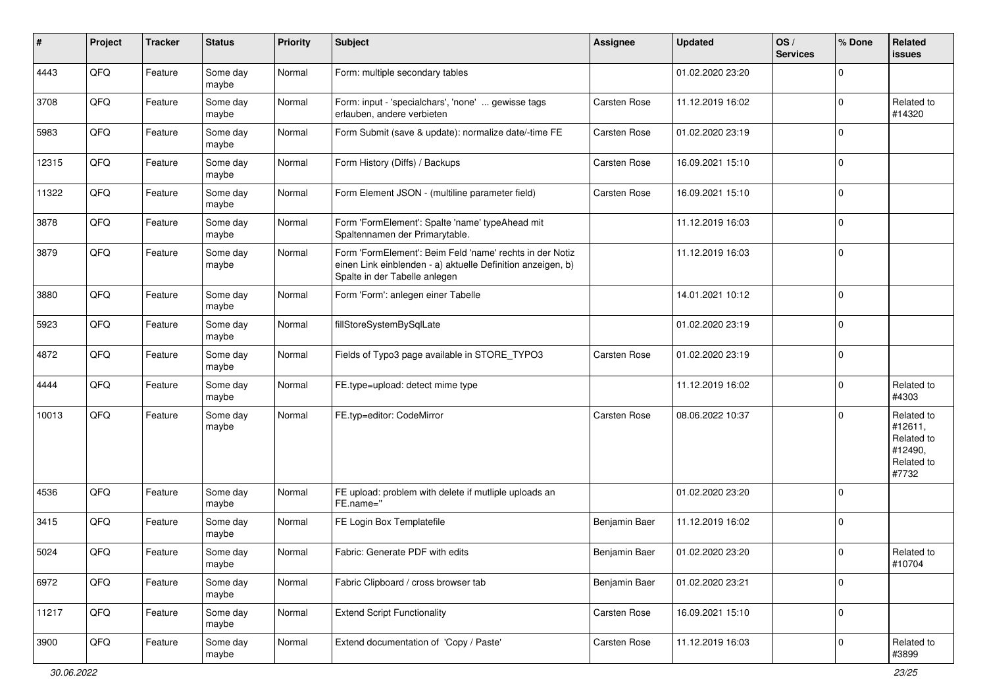| #     | Project | <b>Tracker</b> | <b>Status</b>     | <b>Priority</b> | <b>Subject</b>                                                                                                                                           | <b>Assignee</b>     | <b>Updated</b>   | OS/<br><b>Services</b> | % Done      | Related<br><b>issues</b>                                              |
|-------|---------|----------------|-------------------|-----------------|----------------------------------------------------------------------------------------------------------------------------------------------------------|---------------------|------------------|------------------------|-------------|-----------------------------------------------------------------------|
| 4443  | QFQ     | Feature        | Some day<br>maybe | Normal          | Form: multiple secondary tables                                                                                                                          |                     | 01.02.2020 23:20 |                        | $\mathbf 0$ |                                                                       |
| 3708  | QFQ     | Feature        | Some day<br>maybe | Normal          | Form: input - 'specialchars', 'none'  gewisse tags<br>erlauben, andere verbieten                                                                         | <b>Carsten Rose</b> | 11.12.2019 16:02 |                        | $\mathbf 0$ | Related to<br>#14320                                                  |
| 5983  | QFQ     | Feature        | Some day<br>maybe | Normal          | Form Submit (save & update): normalize date/-time FE                                                                                                     | Carsten Rose        | 01.02.2020 23:19 |                        | $\mathbf 0$ |                                                                       |
| 12315 | QFQ     | Feature        | Some day<br>maybe | Normal          | Form History (Diffs) / Backups                                                                                                                           | Carsten Rose        | 16.09.2021 15:10 |                        | 0           |                                                                       |
| 11322 | QFQ     | Feature        | Some day<br>maybe | Normal          | Form Element JSON - (multiline parameter field)                                                                                                          | Carsten Rose        | 16.09.2021 15:10 |                        | $\mathbf 0$ |                                                                       |
| 3878  | QFQ     | Feature        | Some day<br>maybe | Normal          | Form 'FormElement': Spalte 'name' typeAhead mit<br>Spaltennamen der Primarytable.                                                                        |                     | 11.12.2019 16:03 |                        | $\mathbf 0$ |                                                                       |
| 3879  | QFQ     | Feature        | Some day<br>maybe | Normal          | Form 'FormElement': Beim Feld 'name' rechts in der Notiz<br>einen Link einblenden - a) aktuelle Definition anzeigen, b)<br>Spalte in der Tabelle anlegen |                     | 11.12.2019 16:03 |                        | $\mathbf 0$ |                                                                       |
| 3880  | QFQ     | Feature        | Some day<br>maybe | Normal          | Form 'Form': anlegen einer Tabelle                                                                                                                       |                     | 14.01.2021 10:12 |                        | $\mathbf 0$ |                                                                       |
| 5923  | QFQ     | Feature        | Some day<br>maybe | Normal          | fillStoreSystemBySqlLate                                                                                                                                 |                     | 01.02.2020 23:19 |                        | $\mathbf 0$ |                                                                       |
| 4872  | QFQ     | Feature        | Some day<br>maybe | Normal          | Fields of Typo3 page available in STORE_TYPO3                                                                                                            | Carsten Rose        | 01.02.2020 23:19 |                        | $\mathbf 0$ |                                                                       |
| 4444  | QFQ     | Feature        | Some day<br>maybe | Normal          | FE.type=upload: detect mime type                                                                                                                         |                     | 11.12.2019 16:02 |                        | $\mathbf 0$ | Related to<br>#4303                                                   |
| 10013 | QFQ     | Feature        | Some day<br>maybe | Normal          | FE.typ=editor: CodeMirror                                                                                                                                | Carsten Rose        | 08.06.2022 10:37 |                        | $\Omega$    | Related to<br>#12611,<br>Related to<br>#12490,<br>Related to<br>#7732 |
| 4536  | QFQ     | Feature        | Some day<br>maybe | Normal          | FE upload: problem with delete if mutliple uploads an<br>FE.name="                                                                                       |                     | 01.02.2020 23:20 |                        | 0           |                                                                       |
| 3415  | QFQ     | Feature        | Some day<br>maybe | Normal          | FE Login Box Templatefile                                                                                                                                | Benjamin Baer       | 11.12.2019 16:02 |                        | $\mathbf 0$ |                                                                       |
| 5024  | QFQ     | Feature        | Some day<br>maybe | Normal          | Fabric: Generate PDF with edits                                                                                                                          | Benjamin Baer       | 01.02.2020 23:20 |                        | $\mathbf 0$ | Related to<br>#10704                                                  |
| 6972  | QFQ     | Feature        | Some day<br>maybe | Normal          | Fabric Clipboard / cross browser tab                                                                                                                     | Benjamin Baer       | 01.02.2020 23:21 |                        | $\mathbf 0$ |                                                                       |
| 11217 | QFQ     | Feature        | Some day<br>maybe | Normal          | <b>Extend Script Functionality</b>                                                                                                                       | Carsten Rose        | 16.09.2021 15:10 |                        | $\mathbf 0$ |                                                                       |
| 3900  | QFQ     | Feature        | Some day<br>maybe | Normal          | Extend documentation of 'Copy / Paste'                                                                                                                   | Carsten Rose        | 11.12.2019 16:03 |                        | $\mathbf 0$ | Related to<br>#3899                                                   |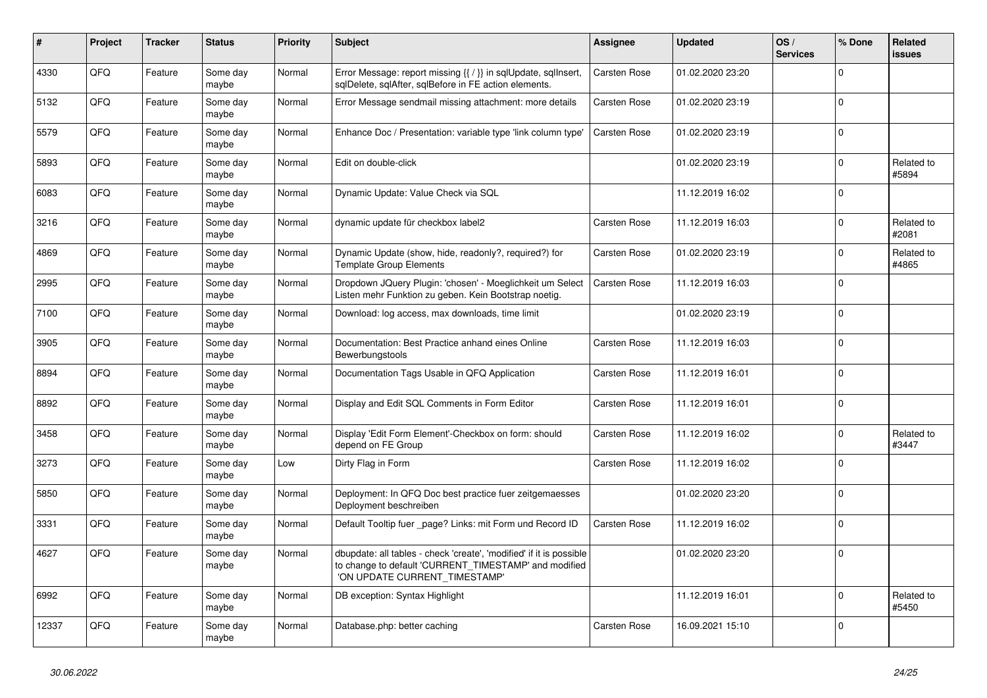| #     | Project | <b>Tracker</b> | <b>Status</b>     | <b>Priority</b> | <b>Subject</b>                                                                                                                                                | Assignee            | <b>Updated</b>   | OS/<br><b>Services</b> | % Done         | <b>Related</b><br><b>issues</b> |
|-------|---------|----------------|-------------------|-----------------|---------------------------------------------------------------------------------------------------------------------------------------------------------------|---------------------|------------------|------------------------|----------------|---------------------------------|
| 4330  | QFQ     | Feature        | Some day<br>maybe | Normal          | Error Message: report missing {{ / }} in sqlUpdate, sqlInsert,<br>sglDelete, sglAfter, sglBefore in FE action elements.                                       | Carsten Rose        | 01.02.2020 23:20 |                        | 0              |                                 |
| 5132  | QFQ     | Feature        | Some dav<br>maybe | Normal          | Error Message sendmail missing attachment: more details                                                                                                       | Carsten Rose        | 01.02.2020 23:19 |                        | 0              |                                 |
| 5579  | QFQ     | Feature        | Some day<br>maybe | Normal          | Enhance Doc / Presentation: variable type 'link column type'                                                                                                  | Carsten Rose        | 01.02.2020 23:19 |                        | $\Omega$       |                                 |
| 5893  | QFQ     | Feature        | Some day<br>maybe | Normal          | Edit on double-click                                                                                                                                          |                     | 01.02.2020 23:19 |                        | $\Omega$       | Related to<br>#5894             |
| 6083  | QFQ     | Feature        | Some day<br>maybe | Normal          | Dynamic Update: Value Check via SQL                                                                                                                           |                     | 11.12.2019 16:02 |                        | $\overline{0}$ |                                 |
| 3216  | QFQ     | Feature        | Some day<br>maybe | Normal          | dynamic update für checkbox label2                                                                                                                            | Carsten Rose        | 11.12.2019 16:03 |                        | 0              | Related to<br>#2081             |
| 4869  | QFQ     | Feature        | Some day<br>maybe | Normal          | Dynamic Update (show, hide, readonly?, required?) for<br><b>Template Group Elements</b>                                                                       | Carsten Rose        | 01.02.2020 23:19 |                        | $\Omega$       | Related to<br>#4865             |
| 2995  | QFQ     | Feature        | Some day<br>maybe | Normal          | Dropdown JQuery Plugin: 'chosen' - Moeglichkeit um Select<br>Listen mehr Funktion zu geben. Kein Bootstrap noetig.                                            | Carsten Rose        | 11.12.2019 16:03 |                        | $\overline{0}$ |                                 |
| 7100  | QFQ     | Feature        | Some day<br>maybe | Normal          | Download: log access, max downloads, time limit                                                                                                               |                     | 01.02.2020 23:19 |                        | $\Omega$       |                                 |
| 3905  | QFQ     | Feature        | Some day<br>maybe | Normal          | Documentation: Best Practice anhand eines Online<br>Bewerbungstools                                                                                           | <b>Carsten Rose</b> | 11.12.2019 16:03 |                        | $\Omega$       |                                 |
| 8894  | QFQ     | Feature        | Some day<br>maybe | Normal          | Documentation Tags Usable in QFQ Application                                                                                                                  | <b>Carsten Rose</b> | 11.12.2019 16:01 |                        | $\mathbf 0$    |                                 |
| 8892  | QFQ     | Feature        | Some day<br>maybe | Normal          | Display and Edit SQL Comments in Form Editor                                                                                                                  | Carsten Rose        | 11.12.2019 16:01 |                        | $\Omega$       |                                 |
| 3458  | QFQ     | Feature        | Some day<br>maybe | Normal          | Display 'Edit Form Element'-Checkbox on form: should<br>depend on FE Group                                                                                    | Carsten Rose        | 11.12.2019 16:02 |                        | $\Omega$       | Related to<br>#3447             |
| 3273  | QFQ     | Feature        | Some day<br>maybe | Low             | Dirty Flag in Form                                                                                                                                            | Carsten Rose        | 11.12.2019 16:02 |                        | $\Omega$       |                                 |
| 5850  | QFQ     | Feature        | Some dav<br>maybe | Normal          | Deployment: In QFQ Doc best practice fuer zeitgemaesses<br>Deployment beschreiben                                                                             |                     | 01.02.2020 23:20 |                        | $\mathbf 0$    |                                 |
| 3331  | QFQ     | Feature        | Some day<br>maybe | Normal          | Default Tooltip fuer _page? Links: mit Form und Record ID                                                                                                     | Carsten Rose        | 11.12.2019 16:02 |                        | $\overline{0}$ |                                 |
| 4627  | QFQ     | Feature        | Some day<br>maybe | Normal          | dbupdate: all tables - check 'create', 'modified' if it is possible<br>to change to default 'CURRENT_TIMESTAMP' and modified<br>'ON UPDATE CURRENT TIMESTAMP' |                     | 01.02.2020 23:20 |                        | $\Omega$       |                                 |
| 6992  | QFQ     | Feature        | Some day<br>maybe | Normal          | DB exception: Syntax Highlight                                                                                                                                |                     | 11.12.2019 16:01 |                        | $\mathbf 0$    | Related to<br>#5450             |
| 12337 | QFQ     | Feature        | Some day<br>maybe | Normal          | Database.php: better caching                                                                                                                                  | Carsten Rose        | 16.09.2021 15:10 |                        | 0              |                                 |